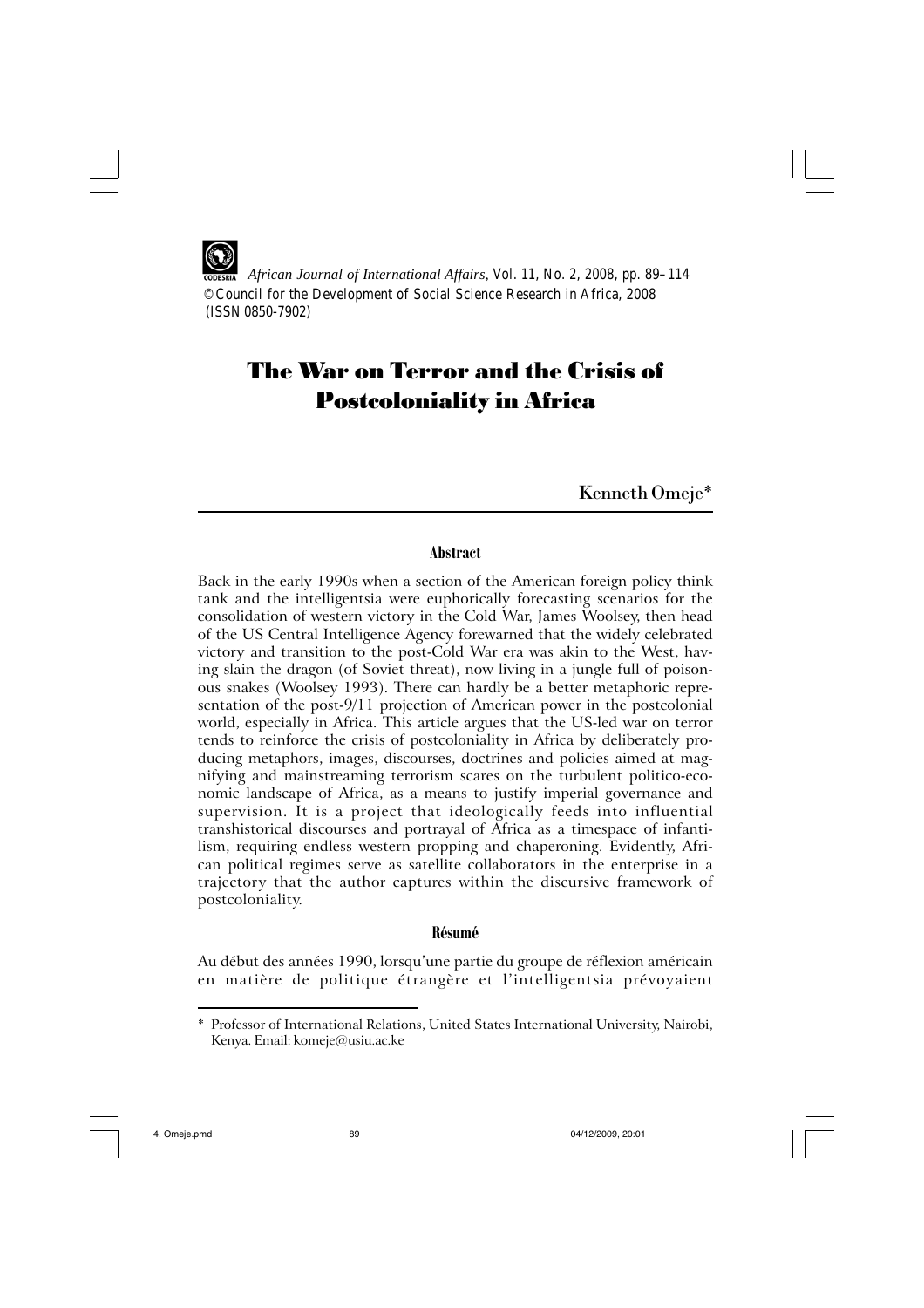*African Journal of International Affairs,* Vol. 11, No. 2, 2008, pp. 89–114 © Council for the Development of Social Science Research in Africa, 2008 (ISSN 0850-7902)

# The War on Terror and the Crisis of Postcoloniality in Africa

Kenneth Omeje\*

# **Abstract**

Back in the early 1990s when a section of the American foreign policy think tank and the intelligentsia were euphorically forecasting scenarios for the consolidation of western victory in the Cold War, James Woolsey, then head of the US Central Intelligence Agency forewarned that the widely celebrated victory and transition to the post-Cold War era was akin to the West, having slain the dragon (of Soviet threat), now living in a jungle full of poisonous snakes (Woolsey 1993). There can hardly be a better metaphoric representation of the post-9/11 projection of American power in the postcolonial world, especially in Africa. This article argues that the US-led war on terror tends to reinforce the crisis of postcoloniality in Africa by deliberately producing metaphors, images, discourses, doctrines and policies aimed at magnifying and mainstreaming terrorism scares on the turbulent politico-economic landscape of Africa, as a means to justify imperial governance and supervision. It is a project that ideologically feeds into influential transhistorical discourses and portrayal of Africa as a timespace of infantilism, requiring endless western propping and chaperoning. Evidently, African political regimes serve as satellite collaborators in the enterprise in a trajectory that the author captures within the discursive framework of postcoloniality.

## **Résumé**

Au début des années 1990, lorsqu'une partie du groupe de réflexion américain en matière de politique étrangère et l'intelligentsia prévoyaient

<sup>\*</sup> Professor of International Relations, United States International University, Nairobi, Kenya. Email: komeje@usiu.ac.ke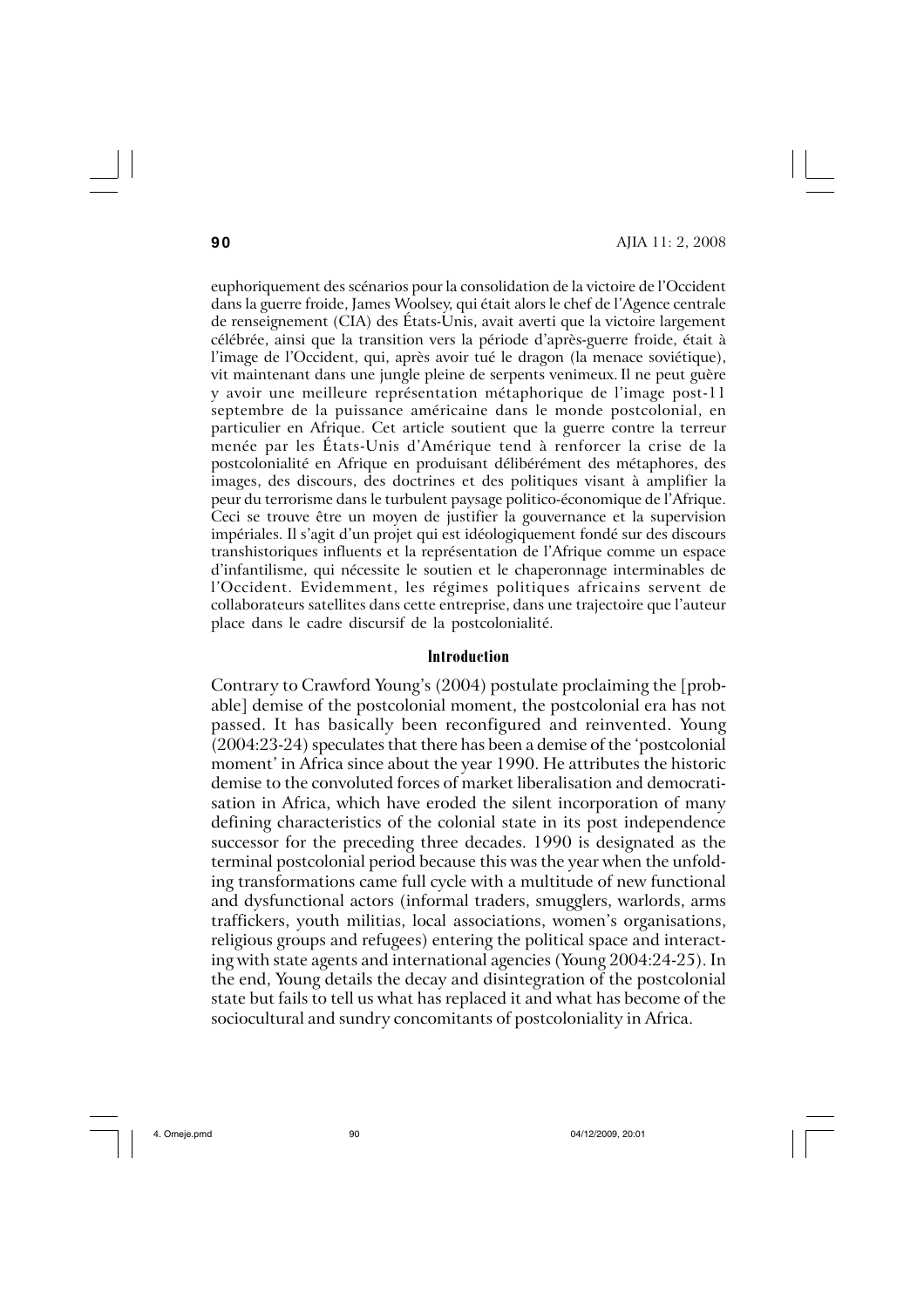euphoriquement des scénarios pour la consolidation de la victoire de l'Occident dans la guerre froide, James Woolsey, qui était alors le chef de l'Agence centrale de renseignement (CIA) des États-Unis, avait averti que la victoire largement célébrée, ainsi que la transition vers la période d'après-guerre froide, était à l'image de l'Occident, qui, après avoir tué le dragon (la menace soviétique), vit maintenant dans une jungle pleine de serpents venimeux.Il ne peut guère y avoir une meilleure représentation métaphorique de l'image post-11 septembre de la puissance américaine dans le monde postcolonial, en particulier en Afrique. Cet article soutient que la guerre contre la terreur menée par les États-Unis d'Amérique tend à renforcer la crise de la postcolonialité en Afrique en produisant délibérément des métaphores, des images, des discours, des doctrines et des politiques visant à amplifier la peur du terrorisme dans le turbulent paysage politico-économique de l'Afrique. Ceci se trouve être un moyen de justifier la gouvernance et la supervision impériales. Il s'agit d'un projet qui est idéologiquement fondé sur des discours transhistoriques influents et la représentation de l'Afrique comme un espace d'infantilisme, qui nécessite le soutien et le chaperonnage interminables de l'Occident. Evidemment, les régimes politiques africains servent de collaborateurs satellites dans cette entreprise, dans une trajectoire que l'auteur place dans le cadre discursif de la postcolonialité.

### **Introduction**

Contrary to Crawford Young's (2004) postulate proclaiming the [probable] demise of the postcolonial moment, the postcolonial era has not passed. It has basically been reconfigured and reinvented. Young (2004:23-24) speculates that there has been a demise of the 'postcolonial moment' in Africa since about the year 1990. He attributes the historic demise to the convoluted forces of market liberalisation and democratisation in Africa, which have eroded the silent incorporation of many defining characteristics of the colonial state in its post independence successor for the preceding three decades. 1990 is designated as the terminal postcolonial period because this was the year when the unfolding transformations came full cycle with a multitude of new functional and dysfunctional actors (informal traders, smugglers, warlords, arms traffickers, youth militias, local associations, women's organisations, religious groups and refugees) entering the political space and interacting with state agents and international agencies (Young 2004:24-25). In the end, Young details the decay and disintegration of the postcolonial state but fails to tell us what has replaced it and what has become of the sociocultural and sundry concomitants of postcoloniality in Africa.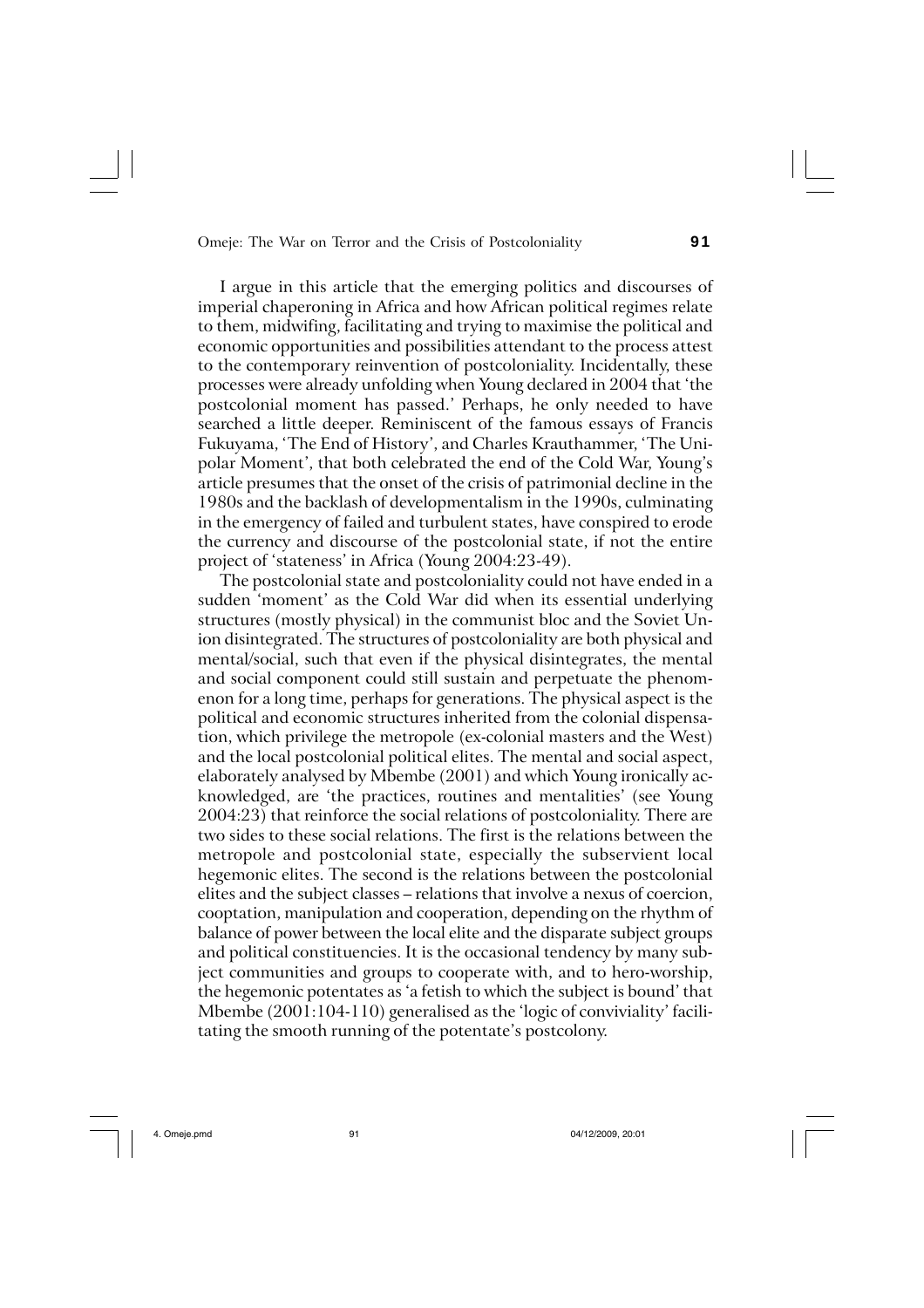I argue in this article that the emerging politics and discourses of imperial chaperoning in Africa and how African political regimes relate to them, midwifing, facilitating and trying to maximise the political and economic opportunities and possibilities attendant to the process attest to the contemporary reinvention of postcoloniality. Incidentally, these processes were already unfolding when Young declared in 2004 that 'the postcolonial moment has passed.' Perhaps, he only needed to have searched a little deeper. Reminiscent of the famous essays of Francis Fukuyama, 'The End of History', and Charles Krauthammer, 'The Unipolar Moment', that both celebrated the end of the Cold War, Young's article presumes that the onset of the crisis of patrimonial decline in the 1980s and the backlash of developmentalism in the 1990s, culminating in the emergency of failed and turbulent states, have conspired to erode the currency and discourse of the postcolonial state, if not the entire project of 'stateness' in Africa (Young 2004:23-49).

The postcolonial state and postcoloniality could not have ended in a sudden 'moment' as the Cold War did when its essential underlying structures (mostly physical) in the communist bloc and the Soviet Union disintegrated. The structures of postcoloniality are both physical and mental/social, such that even if the physical disintegrates, the mental and social component could still sustain and perpetuate the phenomenon for a long time, perhaps for generations. The physical aspect is the political and economic structures inherited from the colonial dispensation, which privilege the metropole (ex-colonial masters and the West) and the local postcolonial political elites. The mental and social aspect, elaborately analysed by Mbembe (2001) and which Young ironically acknowledged, are 'the practices, routines and mentalities' (see Young 2004:23) that reinforce the social relations of postcoloniality. There are two sides to these social relations. The first is the relations between the metropole and postcolonial state, especially the subservient local hegemonic elites. The second is the relations between the postcolonial elites and the subject classes – relations that involve a nexus of coercion, cooptation, manipulation and cooperation, depending on the rhythm of balance of power between the local elite and the disparate subject groups and political constituencies. It is the occasional tendency by many subject communities and groups to cooperate with, and to hero-worship, the hegemonic potentates as 'a fetish to which the subject is bound' that Mbembe (2001:104-110) generalised as the 'logic of conviviality' facilitating the smooth running of the potentate's postcolony.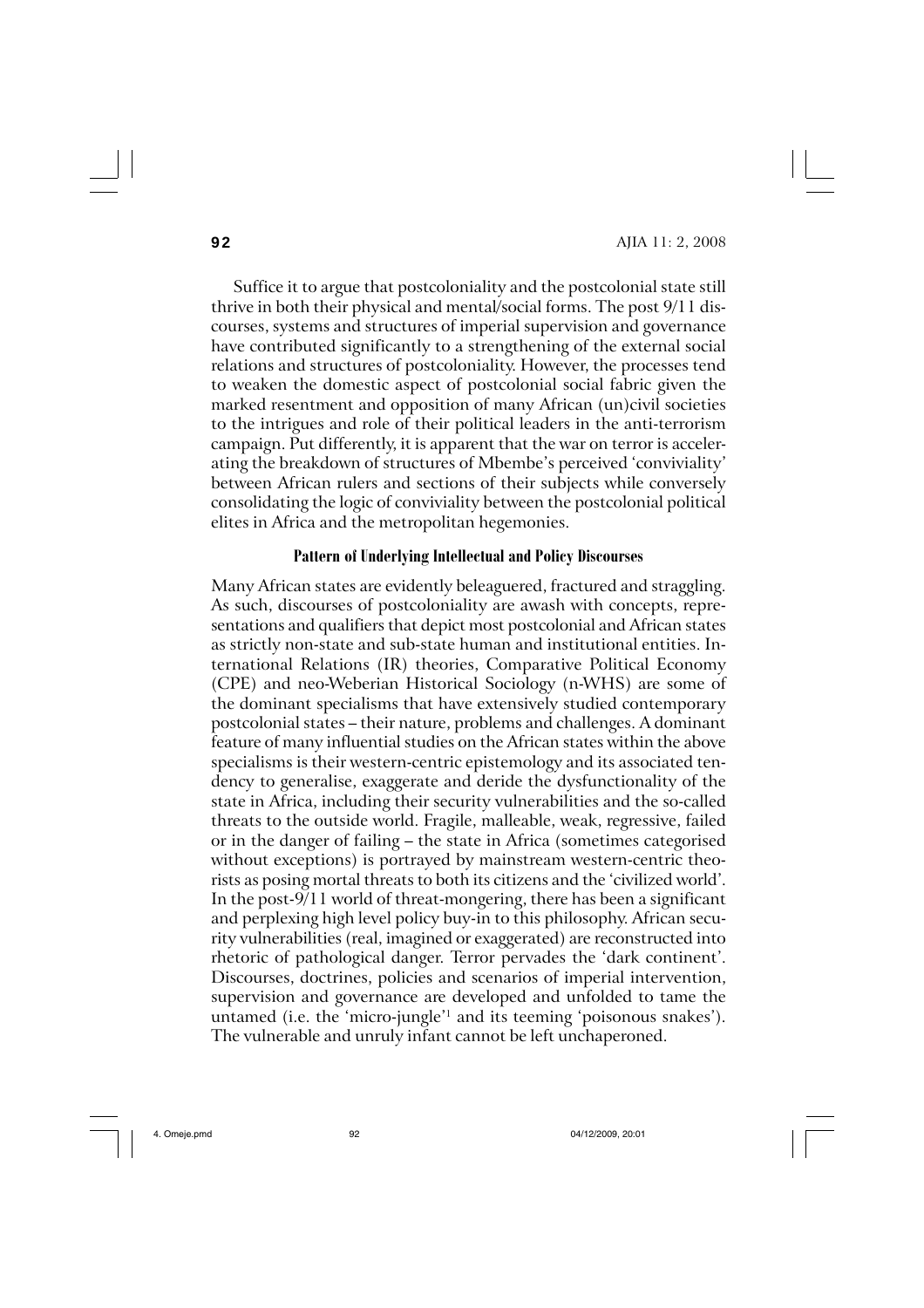Suffice it to argue that postcoloniality and the postcolonial state still thrive in both their physical and mental/social forms. The post 9/11 discourses, systems and structures of imperial supervision and governance have contributed significantly to a strengthening of the external social relations and structures of postcoloniality. However, the processes tend to weaken the domestic aspect of postcolonial social fabric given the marked resentment and opposition of many African (un)civil societies to the intrigues and role of their political leaders in the anti-terrorism campaign. Put differently, it is apparent that the war on terror is accelerating the breakdown of structures of Mbembe's perceived 'conviviality' between African rulers and sections of their subjects while conversely consolidating the logic of conviviality between the postcolonial political elites in Africa and the metropolitan hegemonies.

#### **Pattern of Underlying Intellectual and Policy Discourses**

Many African states are evidently beleaguered, fractured and straggling. As such, discourses of postcoloniality are awash with concepts, representations and qualifiers that depict most postcolonial and African states as strictly non-state and sub-state human and institutional entities. International Relations (IR) theories, Comparative Political Economy (CPE) and neo-Weberian Historical Sociology (n-WHS) are some of the dominant specialisms that have extensively studied contemporary postcolonial states – their nature, problems and challenges. A dominant feature of many influential studies on the African states within the above specialisms is their western-centric epistemology and its associated tendency to generalise, exaggerate and deride the dysfunctionality of the state in Africa, including their security vulnerabilities and the so-called threats to the outside world. Fragile, malleable, weak, regressive, failed or in the danger of failing – the state in Africa (sometimes categorised without exceptions) is portrayed by mainstream western-centric theorists as posing mortal threats to both its citizens and the 'civilized world'. In the post-9/11 world of threat-mongering, there has been a significant and perplexing high level policy buy-in to this philosophy. African security vulnerabilities (real, imagined or exaggerated) are reconstructed into rhetoric of pathological danger. Terror pervades the 'dark continent'. Discourses, doctrines, policies and scenarios of imperial intervention, supervision and governance are developed and unfolded to tame the untamed (i.e. the 'micro-jungle'1 and its teeming 'poisonous snakes'). The vulnerable and unruly infant cannot be left unchaperoned.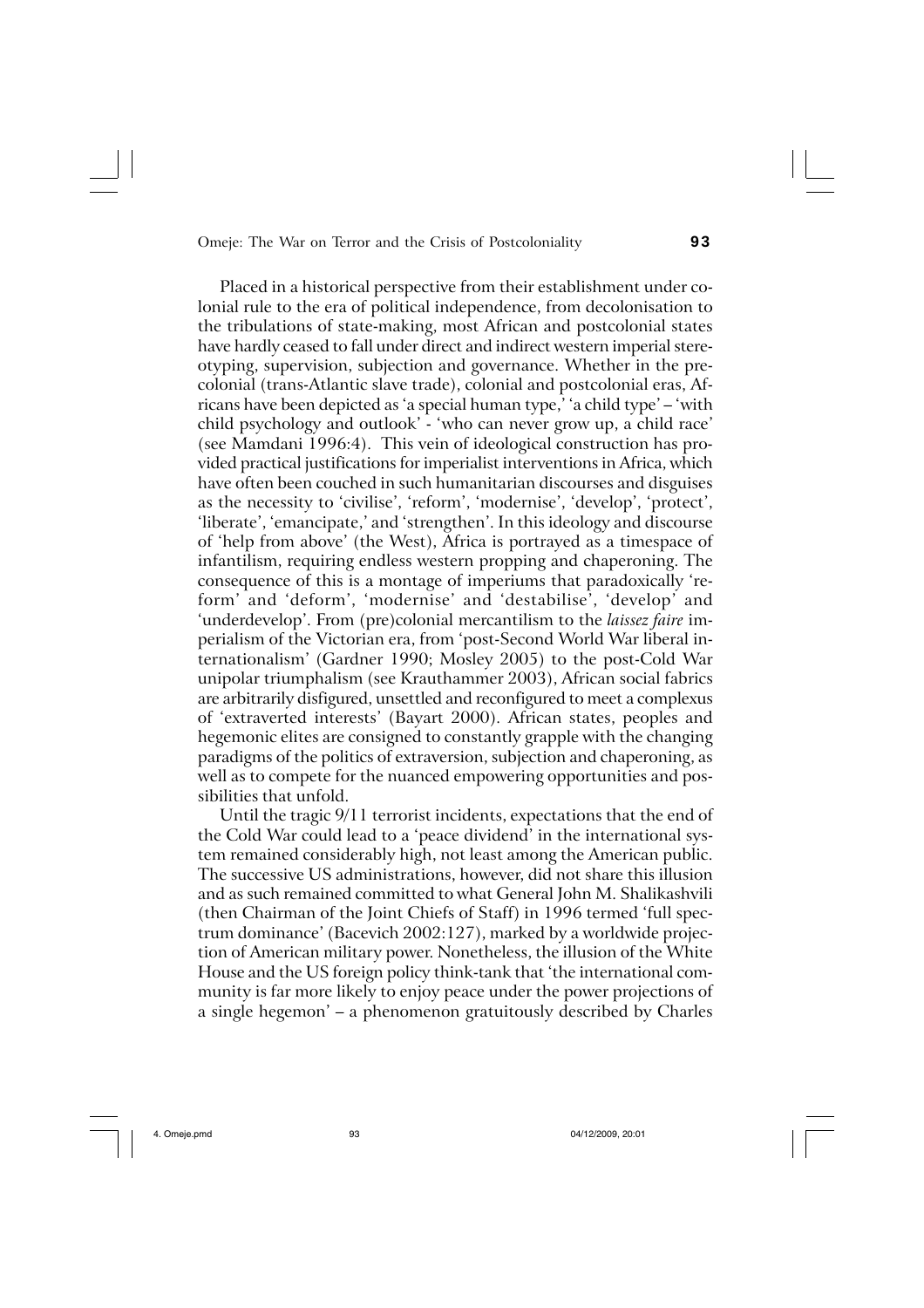Placed in a historical perspective from their establishment under colonial rule to the era of political independence, from decolonisation to the tribulations of state-making, most African and postcolonial states have hardly ceased to fall under direct and indirect western imperial stereotyping, supervision, subjection and governance. Whether in the precolonial (trans-Atlantic slave trade), colonial and postcolonial eras, Africans have been depicted as 'a special human type,' 'a child type' – 'with child psychology and outlook' - 'who can never grow up, a child race' (see Mamdani 1996:4). This vein of ideological construction has provided practical justifications for imperialist interventions in Africa, which have often been couched in such humanitarian discourses and disguises as the necessity to 'civilise', 'reform', 'modernise', 'develop', 'protect', 'liberate', 'emancipate,' and 'strengthen'. In this ideology and discourse of 'help from above' (the West), Africa is portrayed as a timespace of infantilism, requiring endless western propping and chaperoning. The consequence of this is a montage of imperiums that paradoxically 'reform' and 'deform', 'modernise' and 'destabilise', 'develop' and 'underdevelop'. From (pre)colonial mercantilism to the *laissez faire* imperialism of the Victorian era, from 'post-Second World War liberal internationalism' (Gardner 1990; Mosley 2005) to the post-Cold War unipolar triumphalism (see Krauthammer 2003), African social fabrics are arbitrarily disfigured, unsettled and reconfigured to meet a complexus of 'extraverted interests' (Bayart 2000). African states, peoples and hegemonic elites are consigned to constantly grapple with the changing paradigms of the politics of extraversion, subjection and chaperoning, as well as to compete for the nuanced empowering opportunities and possibilities that unfold.

Until the tragic 9/11 terrorist incidents, expectations that the end of the Cold War could lead to a 'peace dividend' in the international system remained considerably high, not least among the American public. The successive US administrations, however, did not share this illusion and as such remained committed to what General John M. Shalikashvili (then Chairman of the Joint Chiefs of Staff) in 1996 termed 'full spectrum dominance' (Bacevich 2002:127), marked by a worldwide projection of American military power. Nonetheless, the illusion of the White House and the US foreign policy think-tank that 'the international community is far more likely to enjoy peace under the power projections of a single hegemon' – a phenomenon gratuitously described by Charles

4. Omeje.pmd 93 04/12/2009, 20:01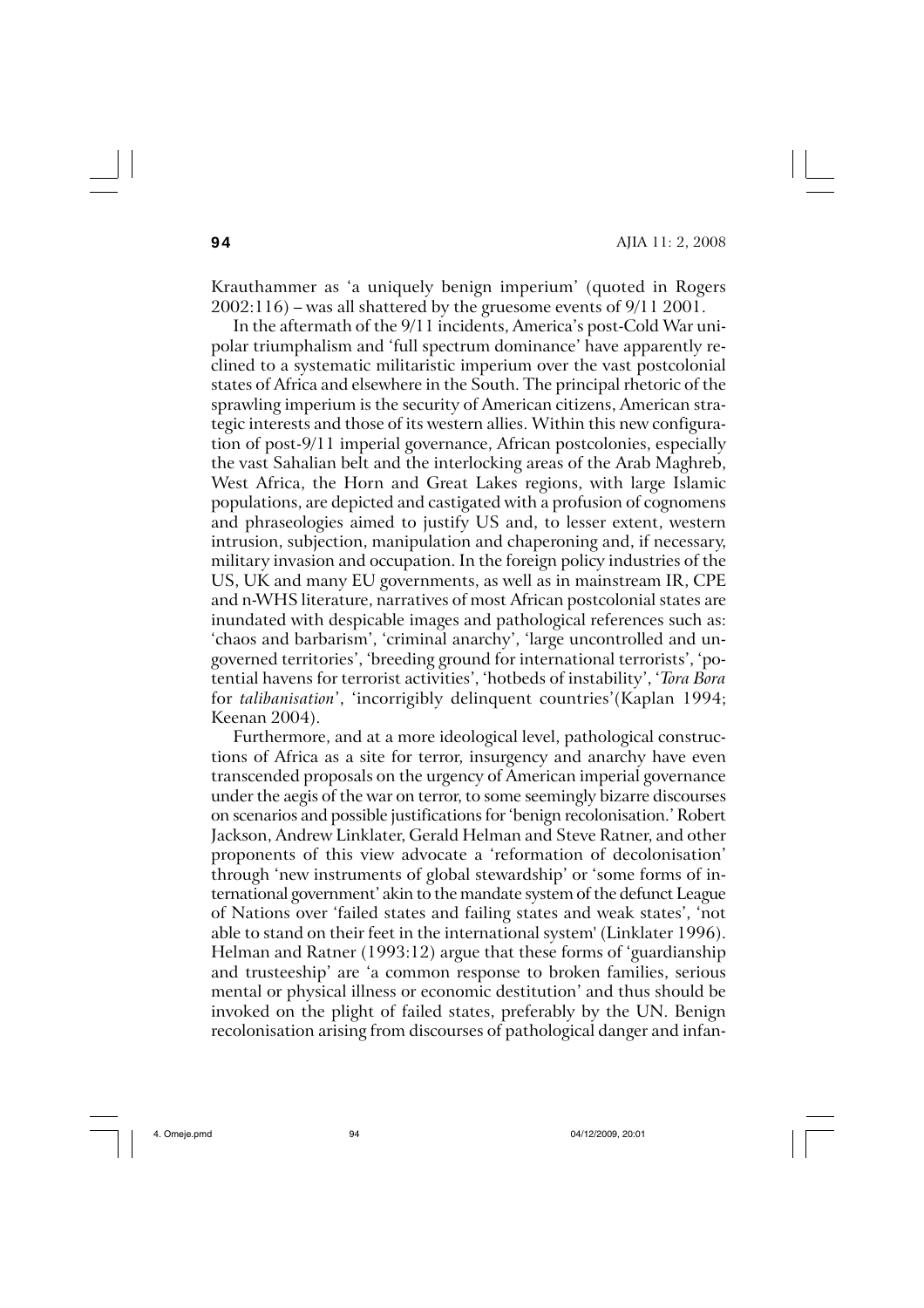**94** AJIA 11: 2, 2008

Krauthammer as 'a uniquely benign imperium' (quoted in Rogers  $2002:116$  – was all shattered by the gruesome events of  $9/11 2001$ .

In the aftermath of the 9/11 incidents, America's post-Cold War unipolar triumphalism and 'full spectrum dominance' have apparently reclined to a systematic militaristic imperium over the vast postcolonial states of Africa and elsewhere in the South. The principal rhetoric of the sprawling imperium is the security of American citizens, American strategic interests and those of its western allies. Within this new configuration of post-9/11 imperial governance, African postcolonies, especially the vast Sahalian belt and the interlocking areas of the Arab Maghreb, West Africa, the Horn and Great Lakes regions, with large Islamic populations, are depicted and castigated with a profusion of cognomens and phraseologies aimed to justify US and, to lesser extent, western intrusion, subjection, manipulation and chaperoning and, if necessary, military invasion and occupation. In the foreign policy industries of the US, UK and many EU governments, as well as in mainstream IR, CPE and n-WHS literature, narratives of most African postcolonial states are inundated with despicable images and pathological references such as: 'chaos and barbarism', 'criminal anarchy', 'large uncontrolled and ungoverned territories', 'breeding ground for international terrorists', 'potential havens for terrorist activities', 'hotbeds of instability', '*Tora Bora* for *talibanisation*', 'incorrigibly delinquent countries'(Kaplan 1994; Keenan 2004).

Furthermore, and at a more ideological level, pathological constructions of Africa as a site for terror, insurgency and anarchy have even transcended proposals on the urgency of American imperial governance under the aegis of the war on terror, to some seemingly bizarre discourses on scenarios and possible justifications for 'benign recolonisation.' Robert Jackson, Andrew Linklater, Gerald Helman and Steve Ratner, and other proponents of this view advocate a 'reformation of decolonisation' through 'new instruments of global stewardship' or 'some forms of international government' akin to the mandate system of the defunct League of Nations over 'failed states and failing states and weak states', 'not able to stand on their feet in the international system' (Linklater 1996). Helman and Ratner (1993:12) argue that these forms of 'guardianship and trusteeship' are 'a common response to broken families, serious mental or physical illness or economic destitution' and thus should be invoked on the plight of failed states, preferably by the UN. Benign recolonisation arising from discourses of pathological danger and infan-

4. Omeje.pmd 94 04/12/2009, 20:01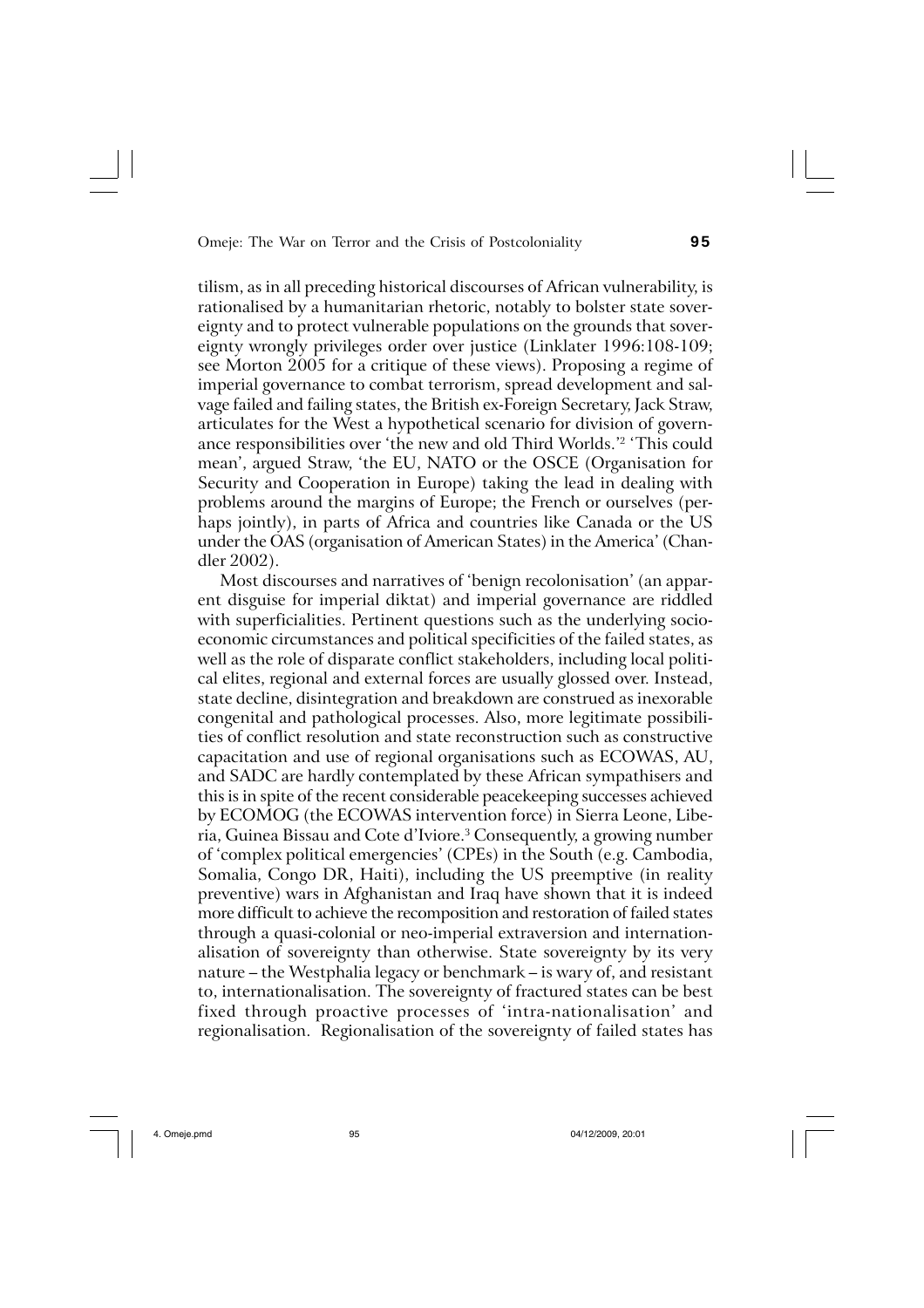tilism, as in all preceding historical discourses of African vulnerability, is rationalised by a humanitarian rhetoric, notably to bolster state sovereignty and to protect vulnerable populations on the grounds that sovereignty wrongly privileges order over justice (Linklater 1996:108-109; see Morton 2005 for a critique of these views). Proposing a regime of imperial governance to combat terrorism, spread development and salvage failed and failing states, the British ex-Foreign Secretary, Jack Straw, articulates for the West a hypothetical scenario for division of governance responsibilities over 'the new and old Third Worlds.'2 'This could mean', argued Straw, 'the EU, NATO or the OSCE (Organisation for Security and Cooperation in Europe) taking the lead in dealing with problems around the margins of Europe; the French or ourselves (perhaps jointly), in parts of Africa and countries like Canada or the US under the OAS (organisation of American States) in the America' (Chandler 2002).

Most discourses and narratives of 'benign recolonisation' (an apparent disguise for imperial diktat) and imperial governance are riddled with superficialities. Pertinent questions such as the underlying socioeconomic circumstances and political specificities of the failed states, as well as the role of disparate conflict stakeholders, including local political elites, regional and external forces are usually glossed over. Instead, state decline, disintegration and breakdown are construed as inexorable congenital and pathological processes. Also, more legitimate possibilities of conflict resolution and state reconstruction such as constructive capacitation and use of regional organisations such as ECOWAS, AU, and SADC are hardly contemplated by these African sympathisers and this is in spite of the recent considerable peacekeeping successes achieved by ECOMOG (the ECOWAS intervention force) in Sierra Leone, Liberia, Guinea Bissau and Cote d'Iviore.<sup>3</sup> Consequently, a growing number of 'complex political emergencies' (CPEs) in the South (e.g. Cambodia, Somalia, Congo DR, Haiti), including the US preemptive (in reality preventive) wars in Afghanistan and Iraq have shown that it is indeed more difficult to achieve the recomposition and restoration of failed states through a quasi-colonial or neo-imperial extraversion and internationalisation of sovereignty than otherwise. State sovereignty by its very nature – the Westphalia legacy or benchmark – is wary of, and resistant to, internationalisation. The sovereignty of fractured states can be best fixed through proactive processes of 'intra-nationalisation' and regionalisation. Regionalisation of the sovereignty of failed states has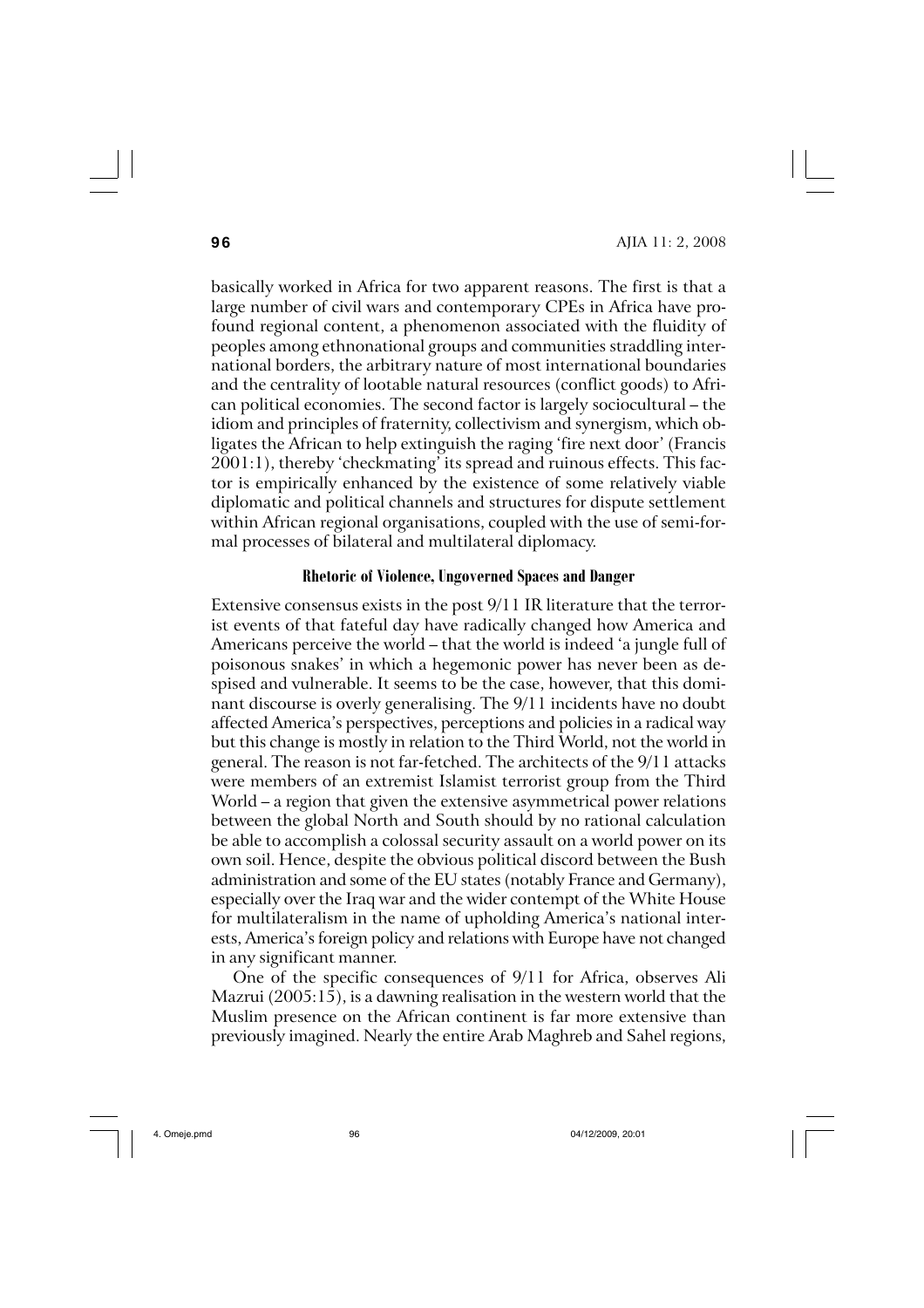basically worked in Africa for two apparent reasons. The first is that a large number of civil wars and contemporary CPEs in Africa have profound regional content, a phenomenon associated with the fluidity of peoples among ethnonational groups and communities straddling international borders, the arbitrary nature of most international boundaries and the centrality of lootable natural resources (conflict goods) to African political economies. The second factor is largely sociocultural – the idiom and principles of fraternity, collectivism and synergism, which obligates the African to help extinguish the raging 'fire next door' (Francis 2001:1), thereby 'checkmating' its spread and ruinous effects. This factor is empirically enhanced by the existence of some relatively viable diplomatic and political channels and structures for dispute settlement within African regional organisations, coupled with the use of semi-formal processes of bilateral and multilateral diplomacy.

# **Rhetoric of Violence, Ungoverned Spaces and Danger**

Extensive consensus exists in the post 9/11 IR literature that the terrorist events of that fateful day have radically changed how America and Americans perceive the world – that the world is indeed 'a jungle full of poisonous snakes' in which a hegemonic power has never been as despised and vulnerable. It seems to be the case, however, that this dominant discourse is overly generalising. The 9/11 incidents have no doubt affected America's perspectives, perceptions and policies in a radical way but this change is mostly in relation to the Third World, not the world in general. The reason is not far-fetched. The architects of the 9/11 attacks were members of an extremist Islamist terrorist group from the Third World – a region that given the extensive asymmetrical power relations between the global North and South should by no rational calculation be able to accomplish a colossal security assault on a world power on its own soil. Hence, despite the obvious political discord between the Bush administration and some of the EU states (notably France and Germany), especially over the Iraq war and the wider contempt of the White House for multilateralism in the name of upholding America's national interests, America's foreign policy and relations with Europe have not changed in any significant manner.

One of the specific consequences of 9/11 for Africa, observes Ali Mazrui (2005:15), is a dawning realisation in the western world that the Muslim presence on the African continent is far more extensive than previously imagined. Nearly the entire Arab Maghreb and Sahel regions,

4. Omeje.pmd 96 04/12/2009, 20:01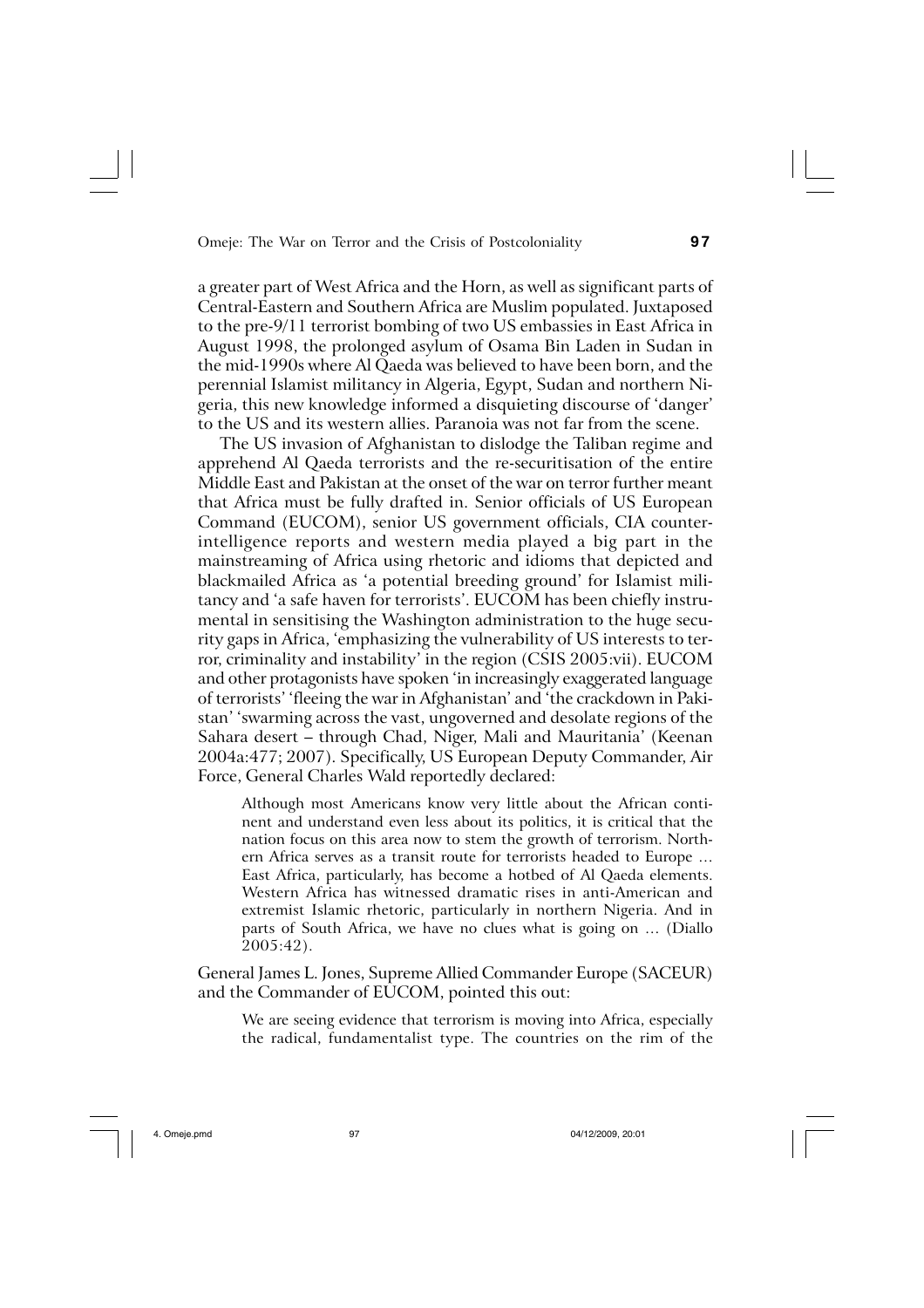a greater part of West Africa and the Horn, as well as significant parts of Central-Eastern and Southern Africa are Muslim populated. Juxtaposed to the pre-9/11 terrorist bombing of two US embassies in East Africa in August 1998, the prolonged asylum of Osama Bin Laden in Sudan in the mid-1990s where Al Qaeda was believed to have been born, and the perennial Islamist militancy in Algeria, Egypt, Sudan and northern Nigeria, this new knowledge informed a disquieting discourse of 'danger' to the US and its western allies. Paranoia was not far from the scene.

The US invasion of Afghanistan to dislodge the Taliban regime and apprehend Al Qaeda terrorists and the re-securitisation of the entire Middle East and Pakistan at the onset of the war on terror further meant that Africa must be fully drafted in. Senior officials of US European Command (EUCOM), senior US government officials, CIA counterintelligence reports and western media played a big part in the mainstreaming of Africa using rhetoric and idioms that depicted and blackmailed Africa as 'a potential breeding ground' for Islamist militancy and 'a safe haven for terrorists'. EUCOM has been chiefly instrumental in sensitising the Washington administration to the huge security gaps in Africa, 'emphasizing the vulnerability of US interests to terror, criminality and instability' in the region (CSIS 2005:vii). EUCOM and other protagonists have spoken 'in increasingly exaggerated language of terrorists' 'fleeing the war in Afghanistan' and 'the crackdown in Pakistan' 'swarming across the vast, ungoverned and desolate regions of the Sahara desert – through Chad, Niger, Mali and Mauritania' (Keenan 2004a:477; 2007). Specifically, US European Deputy Commander, Air Force, General Charles Wald reportedly declared:

Although most Americans know very little about the African continent and understand even less about its politics, it is critical that the nation focus on this area now to stem the growth of terrorism. Northern Africa serves as a transit route for terrorists headed to Europe … East Africa, particularly, has become a hotbed of Al Qaeda elements. Western Africa has witnessed dramatic rises in anti-American and extremist Islamic rhetoric, particularly in northern Nigeria. And in parts of South Africa, we have no clues what is going on … (Diallo 2005:42).

General James L. Jones, Supreme Allied Commander Europe (SACEUR) and the Commander of EUCOM, pointed this out:

We are seeing evidence that terrorism is moving into Africa, especially the radical, fundamentalist type. The countries on the rim of the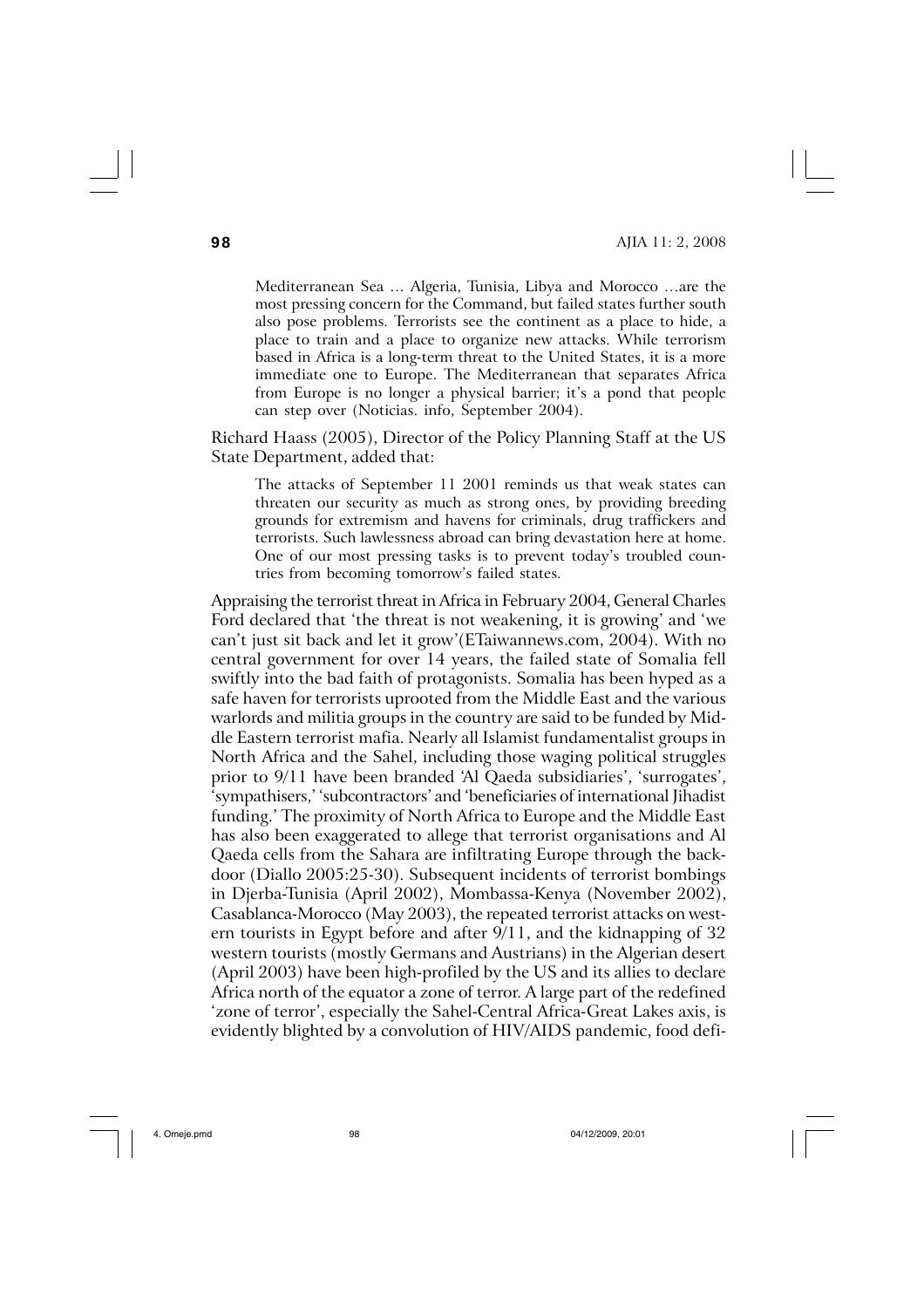Mediterranean Sea … Algeria, Tunisia, Libya and Morocco …are the most pressing concern for the Command, but failed states further south also pose problems. Terrorists see the continent as a place to hide, a place to train and a place to organize new attacks. While terrorism based in Africa is a long-term threat to the United States, it is a more immediate one to Europe. The Mediterranean that separates Africa from Europe is no longer a physical barrier; it's a pond that people can step over (Noticias. info, September 2004).

Richard Haass (2005), Director of the Policy Planning Staff at the US State Department, added that:

The attacks of September 11 2001 reminds us that weak states can threaten our security as much as strong ones, by providing breeding grounds for extremism and havens for criminals, drug traffickers and terrorists. Such lawlessness abroad can bring devastation here at home. One of our most pressing tasks is to prevent today's troubled countries from becoming tomorrow's failed states.

Appraising the terrorist threat in Africa in February 2004, General Charles Ford declared that 'the threat is not weakening, it is growing' and 'we can't just sit back and let it grow'(ETaiwannews.com, 2004). With no central government for over 14 years, the failed state of Somalia fell swiftly into the bad faith of protagonists. Somalia has been hyped as a safe haven for terrorists uprooted from the Middle East and the various warlords and militia groups in the country are said to be funded by Middle Eastern terrorist mafia. Nearly all Islamist fundamentalist groups in North Africa and the Sahel, including those waging political struggles prior to 9/11 have been branded 'Al Qaeda subsidiaries', 'surrogates', 'sympathisers,' 'subcontractors' and 'beneficiaries of international Jihadist funding.' The proximity of North Africa to Europe and the Middle East has also been exaggerated to allege that terrorist organisations and Al Qaeda cells from the Sahara are infiltrating Europe through the backdoor (Diallo 2005:25-30). Subsequent incidents of terrorist bombings in Djerba-Tunisia (April 2002), Mombassa-Kenya (November 2002), Casablanca-Morocco (May 2003), the repeated terrorist attacks on western tourists in Egypt before and after 9/11, and the kidnapping of 32 western tourists (mostly Germans and Austrians) in the Algerian desert (April 2003) have been high-profiled by the US and its allies to declare Africa north of the equator a zone of terror. A large part of the redefined 'zone of terror', especially the Sahel-Central Africa-Great Lakes axis, is evidently blighted by a convolution of HIV/AIDS pandemic, food defi-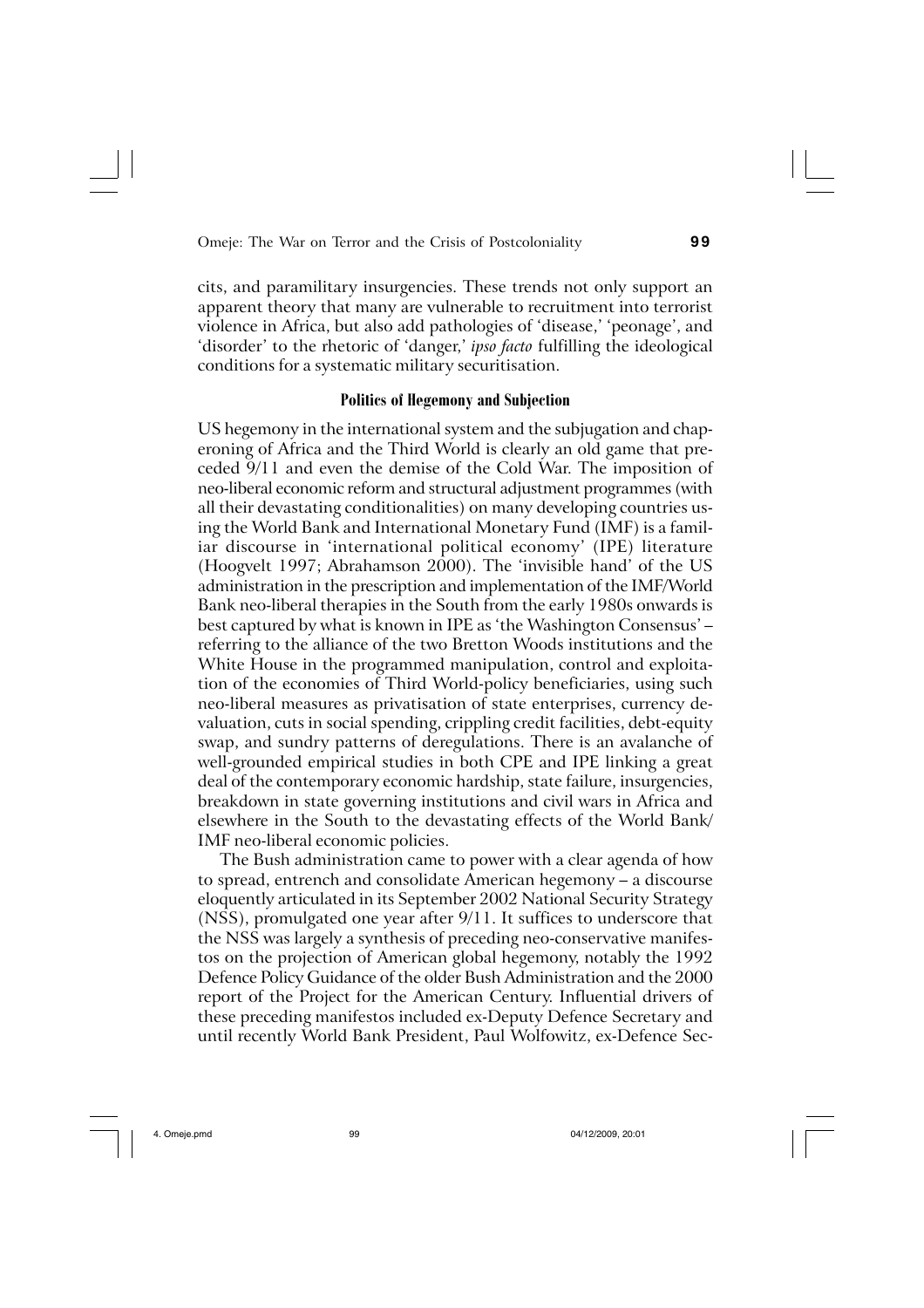cits, and paramilitary insurgencies. These trends not only support an apparent theory that many are vulnerable to recruitment into terrorist violence in Africa, but also add pathologies of 'disease,' 'peonage', and 'disorder' to the rhetoric of 'danger,' *ipso facto* fulfilling the ideological conditions for a systematic military securitisation.

## **Politics of Hegemony and Subjection**

US hegemony in the international system and the subjugation and chaperoning of Africa and the Third World is clearly an old game that preceded 9/11 and even the demise of the Cold War. The imposition of neo-liberal economic reform and structural adjustment programmes (with all their devastating conditionalities) on many developing countries using the World Bank and International Monetary Fund (IMF) is a familiar discourse in 'international political economy' (IPE) literature (Hoogvelt 1997; Abrahamson 2000). The 'invisible hand' of the US administration in the prescription and implementation of the IMF/World Bank neo-liberal therapies in the South from the early 1980s onwards is best captured by what is known in IPE as 'the Washington Consensus' – referring to the alliance of the two Bretton Woods institutions and the White House in the programmed manipulation, control and exploitation of the economies of Third World-policy beneficiaries, using such neo-liberal measures as privatisation of state enterprises, currency devaluation, cuts in social spending, crippling credit facilities, debt-equity swap, and sundry patterns of deregulations. There is an avalanche of well-grounded empirical studies in both CPE and IPE linking a great deal of the contemporary economic hardship, state failure, insurgencies, breakdown in state governing institutions and civil wars in Africa and elsewhere in the South to the devastating effects of the World Bank/ IMF neo-liberal economic policies.

The Bush administration came to power with a clear agenda of how to spread, entrench and consolidate American hegemony – a discourse eloquently articulated in its September 2002 National Security Strategy (NSS), promulgated one year after 9/11. It suffices to underscore that the NSS was largely a synthesis of preceding neo-conservative manifestos on the projection of American global hegemony, notably the 1992 Defence Policy Guidance of the older Bush Administration and the 2000 report of the Project for the American Century. Influential drivers of these preceding manifestos included ex-Deputy Defence Secretary and until recently World Bank President, Paul Wolfowitz, ex-Defence Sec-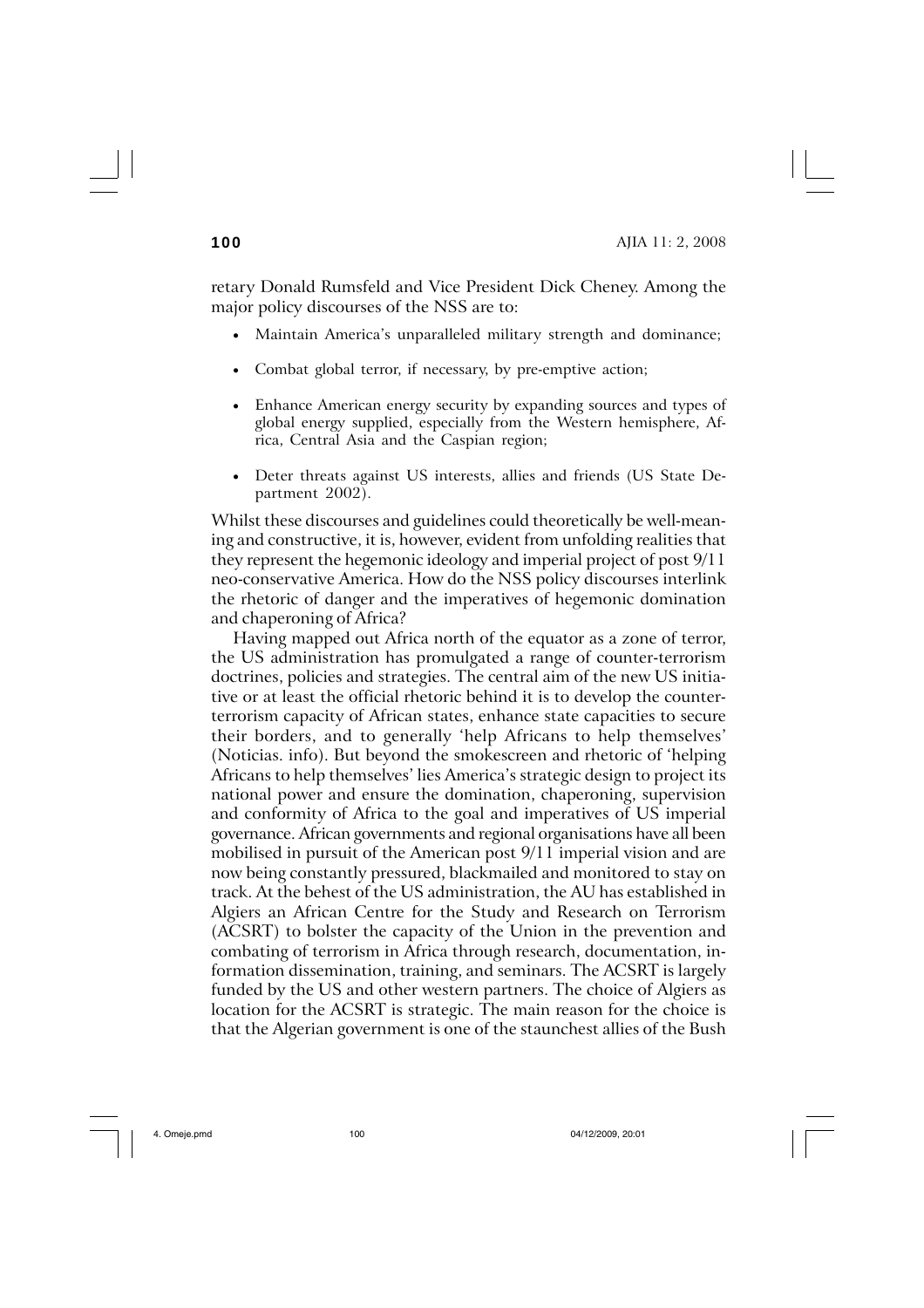retary Donald Rumsfeld and Vice President Dick Cheney. Among the major policy discourses of the NSS are to:

- Maintain America's unparalleled military strength and dominance;
- Combat global terror, if necessary, by pre-emptive action;
- Enhance American energy security by expanding sources and types of global energy supplied, especially from the Western hemisphere, Africa, Central Asia and the Caspian region;
- Deter threats against US interests, allies and friends (US State Department 2002).

Whilst these discourses and guidelines could theoretically be well-meaning and constructive, it is, however, evident from unfolding realities that they represent the hegemonic ideology and imperial project of post 9/11 neo-conservative America. How do the NSS policy discourses interlink the rhetoric of danger and the imperatives of hegemonic domination and chaperoning of Africa?

Having mapped out Africa north of the equator as a zone of terror, the US administration has promulgated a range of counter-terrorism doctrines, policies and strategies. The central aim of the new US initiative or at least the official rhetoric behind it is to develop the counterterrorism capacity of African states, enhance state capacities to secure their borders, and to generally 'help Africans to help themselves' (Noticias. info). But beyond the smokescreen and rhetoric of 'helping Africans to help themselves' lies America's strategic design to project its national power and ensure the domination, chaperoning, supervision and conformity of Africa to the goal and imperatives of US imperial governance. African governments and regional organisations have all been mobilised in pursuit of the American post 9/11 imperial vision and are now being constantly pressured, blackmailed and monitored to stay on track. At the behest of the US administration, the AU has established in Algiers an African Centre for the Study and Research on Terrorism (ACSRT) to bolster the capacity of the Union in the prevention and combating of terrorism in Africa through research, documentation, information dissemination, training, and seminars. The ACSRT is largely funded by the US and other western partners. The choice of Algiers as location for the ACSRT is strategic. The main reason for the choice is that the Algerian government is one of the staunchest allies of the Bush

4. Omeje.pmd 100 04/12/2009, 20:01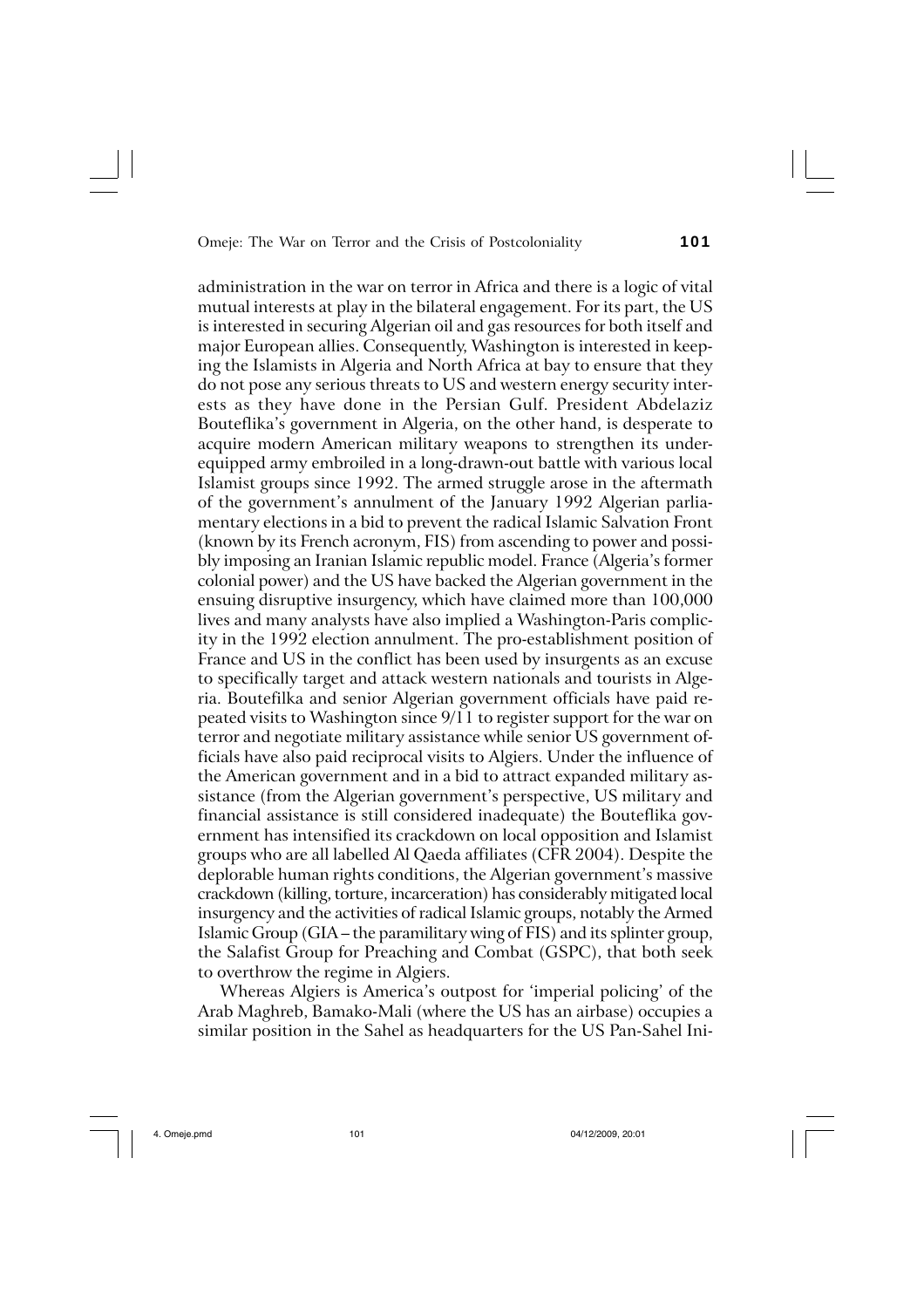administration in the war on terror in Africa and there is a logic of vital mutual interests at play in the bilateral engagement. For its part, the US is interested in securing Algerian oil and gas resources for both itself and major European allies. Consequently, Washington is interested in keeping the Islamists in Algeria and North Africa at bay to ensure that they do not pose any serious threats to US and western energy security interests as they have done in the Persian Gulf. President Abdelaziz Bouteflika's government in Algeria, on the other hand, is desperate to acquire modern American military weapons to strengthen its underequipped army embroiled in a long-drawn-out battle with various local Islamist groups since 1992. The armed struggle arose in the aftermath of the government's annulment of the January 1992 Algerian parliamentary elections in a bid to prevent the radical Islamic Salvation Front (known by its French acronym, FIS) from ascending to power and possibly imposing an Iranian Islamic republic model. France (Algeria's former colonial power) and the US have backed the Algerian government in the ensuing disruptive insurgency, which have claimed more than 100,000 lives and many analysts have also implied a Washington-Paris complicity in the 1992 election annulment. The pro-establishment position of France and US in the conflict has been used by insurgents as an excuse to specifically target and attack western nationals and tourists in Algeria. Boutefilka and senior Algerian government officials have paid repeated visits to Washington since 9/11 to register support for the war on terror and negotiate military assistance while senior US government officials have also paid reciprocal visits to Algiers. Under the influence of the American government and in a bid to attract expanded military assistance (from the Algerian government's perspective, US military and financial assistance is still considered inadequate) the Bouteflika government has intensified its crackdown on local opposition and Islamist groups who are all labelled Al Qaeda affiliates (CFR 2004). Despite the deplorable human rights conditions, the Algerian government's massive crackdown (killing, torture, incarceration) has considerably mitigated local insurgency and the activities of radical Islamic groups, notably the Armed Islamic Group (GIA – the paramilitary wing of FIS) and its splinter group, the Salafist Group for Preaching and Combat (GSPC), that both seek to overthrow the regime in Algiers.

Whereas Algiers is America's outpost for 'imperial policing' of the Arab Maghreb, Bamako-Mali (where the US has an airbase) occupies a similar position in the Sahel as headquarters for the US Pan-Sahel Ini-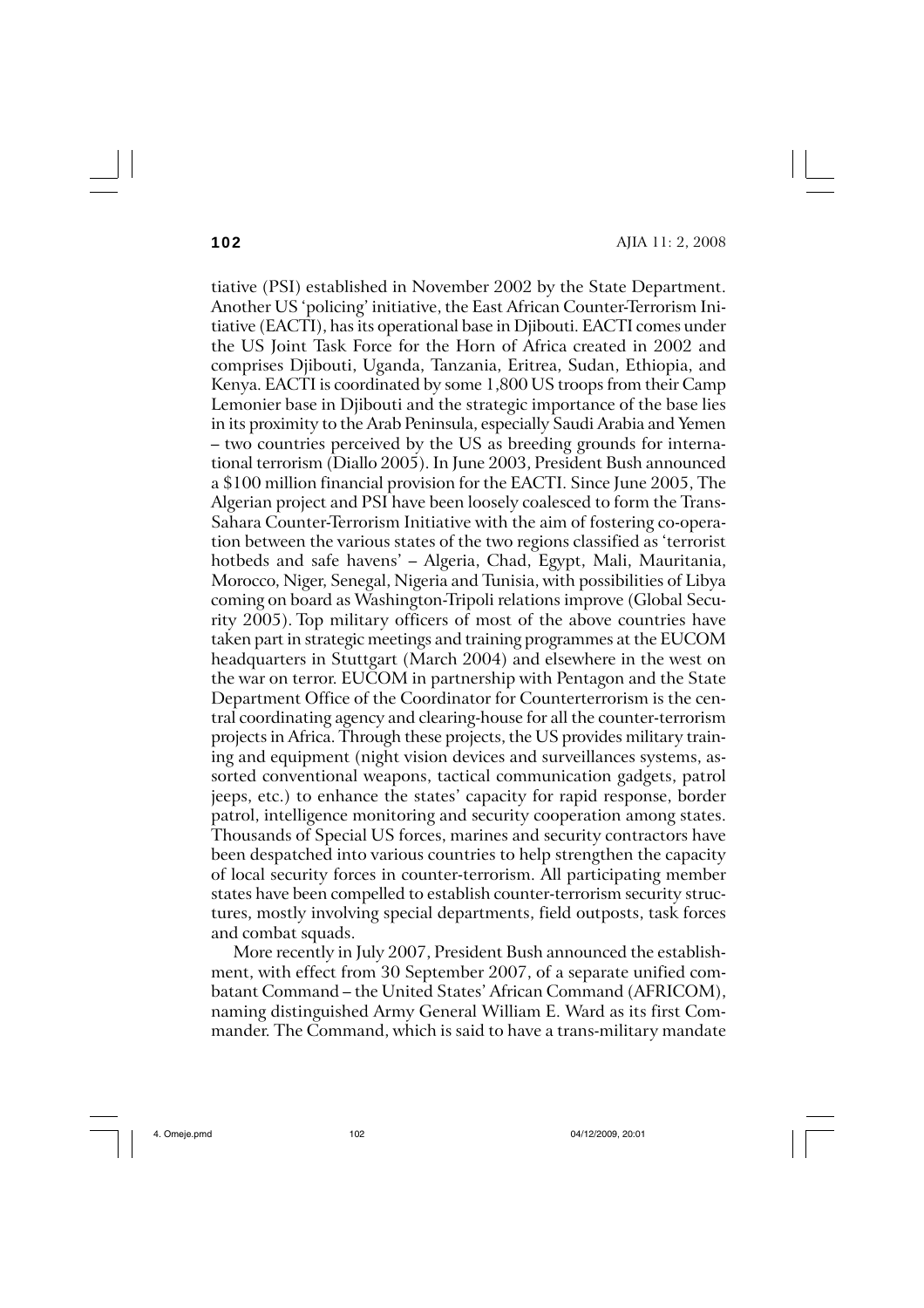**102** AJIA 11: 2, 2008

tiative (PSI) established in November 2002 by the State Department. Another US 'policing' initiative, the East African Counter-Terrorism Initiative (EACTI), has its operational base in Djibouti. EACTI comes under the US Joint Task Force for the Horn of Africa created in 2002 and comprises Djibouti, Uganda, Tanzania, Eritrea, Sudan, Ethiopia, and Kenya. EACTI is coordinated by some 1,800 US troops from their Camp Lemonier base in Djibouti and the strategic importance of the base lies in its proximity to the Arab Peninsula, especially Saudi Arabia and Yemen – two countries perceived by the US as breeding grounds for international terrorism (Diallo 2005). In June 2003, President Bush announced a \$100 million financial provision for the EACTI. Since June 2005, The Algerian project and PSI have been loosely coalesced to form the Trans-Sahara Counter-Terrorism Initiative with the aim of fostering co-operation between the various states of the two regions classified as 'terrorist hotbeds and safe havens' – Algeria, Chad, Egypt, Mali, Mauritania, Morocco, Niger, Senegal, Nigeria and Tunisia, with possibilities of Libya coming on board as Washington-Tripoli relations improve (Global Security 2005). Top military officers of most of the above countries have taken part in strategic meetings and training programmes at the EUCOM headquarters in Stuttgart (March 2004) and elsewhere in the west on the war on terror. EUCOM in partnership with Pentagon and the State Department Office of the Coordinator for Counterterrorism is the central coordinating agency and clearing-house for all the counter-terrorism projects in Africa. Through these projects, the US provides military training and equipment (night vision devices and surveillances systems, assorted conventional weapons, tactical communication gadgets, patrol jeeps, etc.) to enhance the states' capacity for rapid response, border patrol, intelligence monitoring and security cooperation among states. Thousands of Special US forces, marines and security contractors have been despatched into various countries to help strengthen the capacity of local security forces in counter-terrorism. All participating member states have been compelled to establish counter-terrorism security structures, mostly involving special departments, field outposts, task forces and combat squads.

More recently in July 2007, President Bush announced the establishment, with effect from 30 September 2007, of a separate unified combatant Command – the United States' African Command (AFRICOM), naming distinguished Army General William E. Ward as its first Commander. The Command, which is said to have a trans-military mandate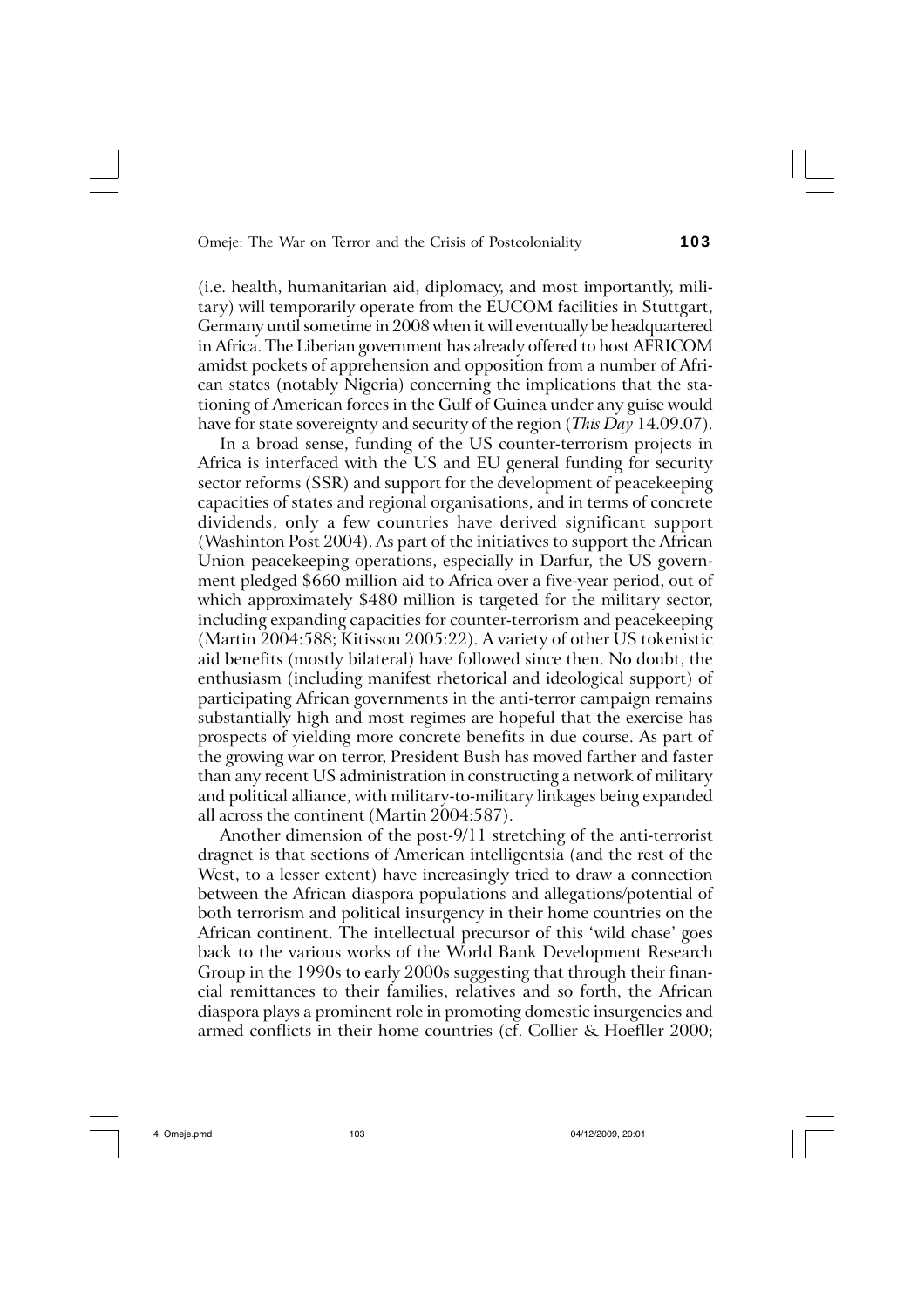(i.e. health, humanitarian aid, diplomacy, and most importantly, military) will temporarily operate from the EUCOM facilities in Stuttgart, Germany until sometime in 2008 when it will eventually be headquartered in Africa. The Liberian government has already offered to host AFRICOM amidst pockets of apprehension and opposition from a number of African states (notably Nigeria) concerning the implications that the stationing of American forces in the Gulf of Guinea under any guise would have for state sovereignty and security of the region (*This Day* 14.09.07).

In a broad sense, funding of the US counter-terrorism projects in Africa is interfaced with the US and EU general funding for security sector reforms (SSR) and support for the development of peacekeeping capacities of states and regional organisations, and in terms of concrete dividends, only a few countries have derived significant support (Washinton Post 2004). As part of the initiatives to support the African Union peacekeeping operations, especially in Darfur, the US government pledged \$660 million aid to Africa over a five-year period, out of which approximately \$480 million is targeted for the military sector, including expanding capacities for counter-terrorism and peacekeeping (Martin 2004:588; Kitissou 2005:22). A variety of other US tokenistic aid benefits (mostly bilateral) have followed since then. No doubt, the enthusiasm (including manifest rhetorical and ideological support) of participating African governments in the anti-terror campaign remains substantially high and most regimes are hopeful that the exercise has prospects of yielding more concrete benefits in due course. As part of the growing war on terror, President Bush has moved farther and faster than any recent US administration in constructing a network of military and political alliance, with military-to-military linkages being expanded all across the continent (Martin 2004:587).

Another dimension of the post-9/11 stretching of the anti-terrorist dragnet is that sections of American intelligentsia (and the rest of the West, to a lesser extent) have increasingly tried to draw a connection between the African diaspora populations and allegations/potential of both terrorism and political insurgency in their home countries on the African continent. The intellectual precursor of this 'wild chase' goes back to the various works of the World Bank Development Research Group in the 1990s to early 2000s suggesting that through their financial remittances to their families, relatives and so forth, the African diaspora plays a prominent role in promoting domestic insurgencies and armed conflicts in their home countries (cf. Collier & Hoefller 2000;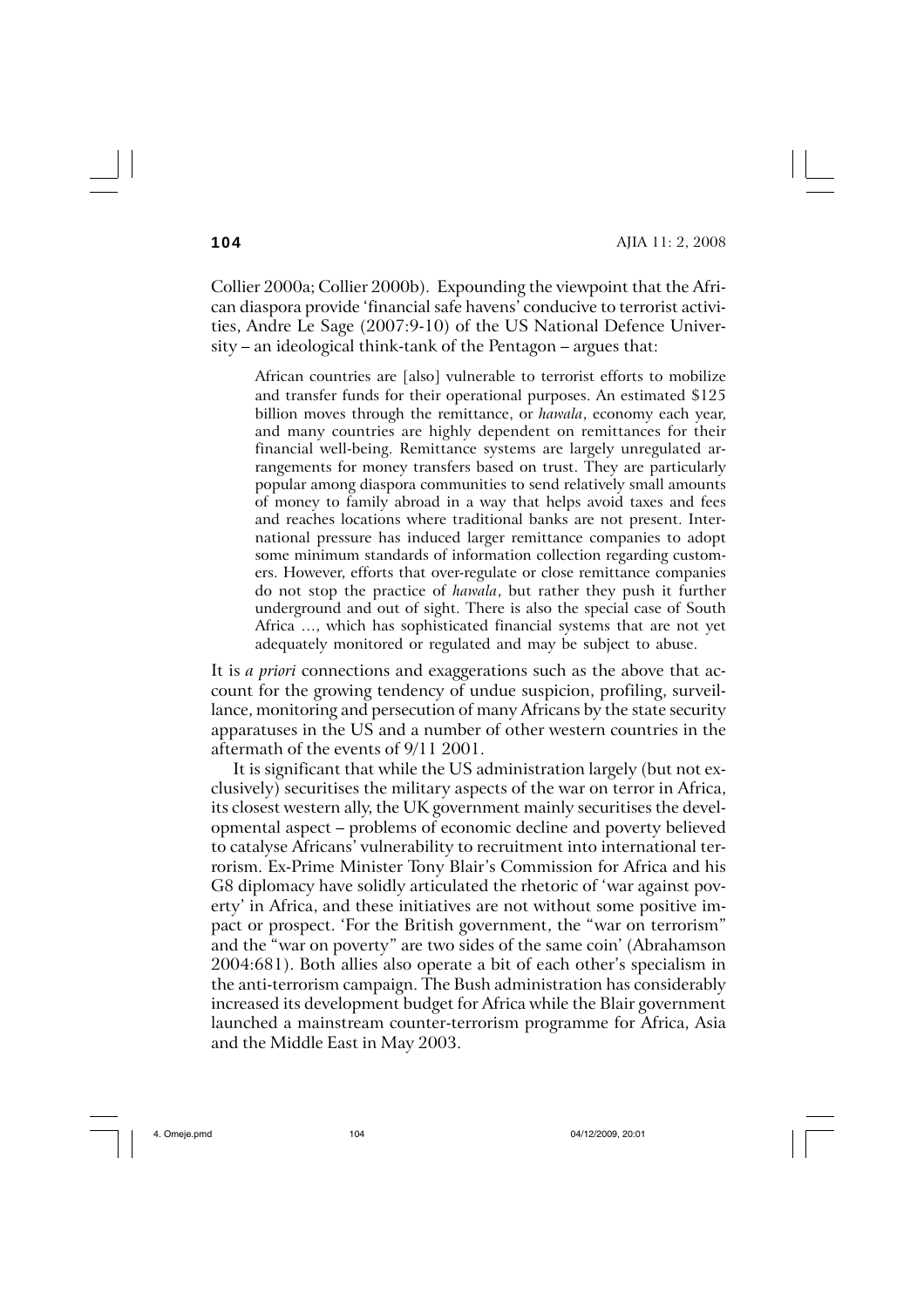Collier 2000a; Collier 2000b). Expounding the viewpoint that the African diaspora provide 'financial safe havens' conducive to terrorist activities, Andre Le Sage (2007:9-10) of the US National Defence University – an ideological think-tank of the Pentagon – argues that:

African countries are [also] vulnerable to terrorist efforts to mobilize and transfer funds for their operational purposes. An estimated \$125 billion moves through the remittance, or *hawala*, economy each year, and many countries are highly dependent on remittances for their financial well-being. Remittance systems are largely unregulated arrangements for money transfers based on trust. They are particularly popular among diaspora communities to send relatively small amounts of money to family abroad in a way that helps avoid taxes and fees and reaches locations where traditional banks are not present. International pressure has induced larger remittance companies to adopt some minimum standards of information collection regarding customers. However, efforts that over-regulate or close remittance companies do not stop the practice of *hawala*, but rather they push it further underground and out of sight. There is also the special case of South Africa …, which has sophisticated financial systems that are not yet adequately monitored or regulated and may be subject to abuse.

It is *a priori* connections and exaggerations such as the above that account for the growing tendency of undue suspicion, profiling, surveillance, monitoring and persecution of many Africans by the state security apparatuses in the US and a number of other western countries in the aftermath of the events of 9/11 2001.

It is significant that while the US administration largely (but not exclusively) securitises the military aspects of the war on terror in Africa, its closest western ally, the UK government mainly securitises the developmental aspect – problems of economic decline and poverty believed to catalyse Africans' vulnerability to recruitment into international terrorism. Ex-Prime Minister Tony Blair's Commission for Africa and his G8 diplomacy have solidly articulated the rhetoric of 'war against poverty' in Africa, and these initiatives are not without some positive impact or prospect. 'For the British government, the "war on terrorism" and the "war on poverty" are two sides of the same coin' (Abrahamson 2004:681). Both allies also operate a bit of each other's specialism in the anti-terrorism campaign. The Bush administration has considerably increased its development budget for Africa while the Blair government launched a mainstream counter-terrorism programme for Africa, Asia and the Middle East in May 2003.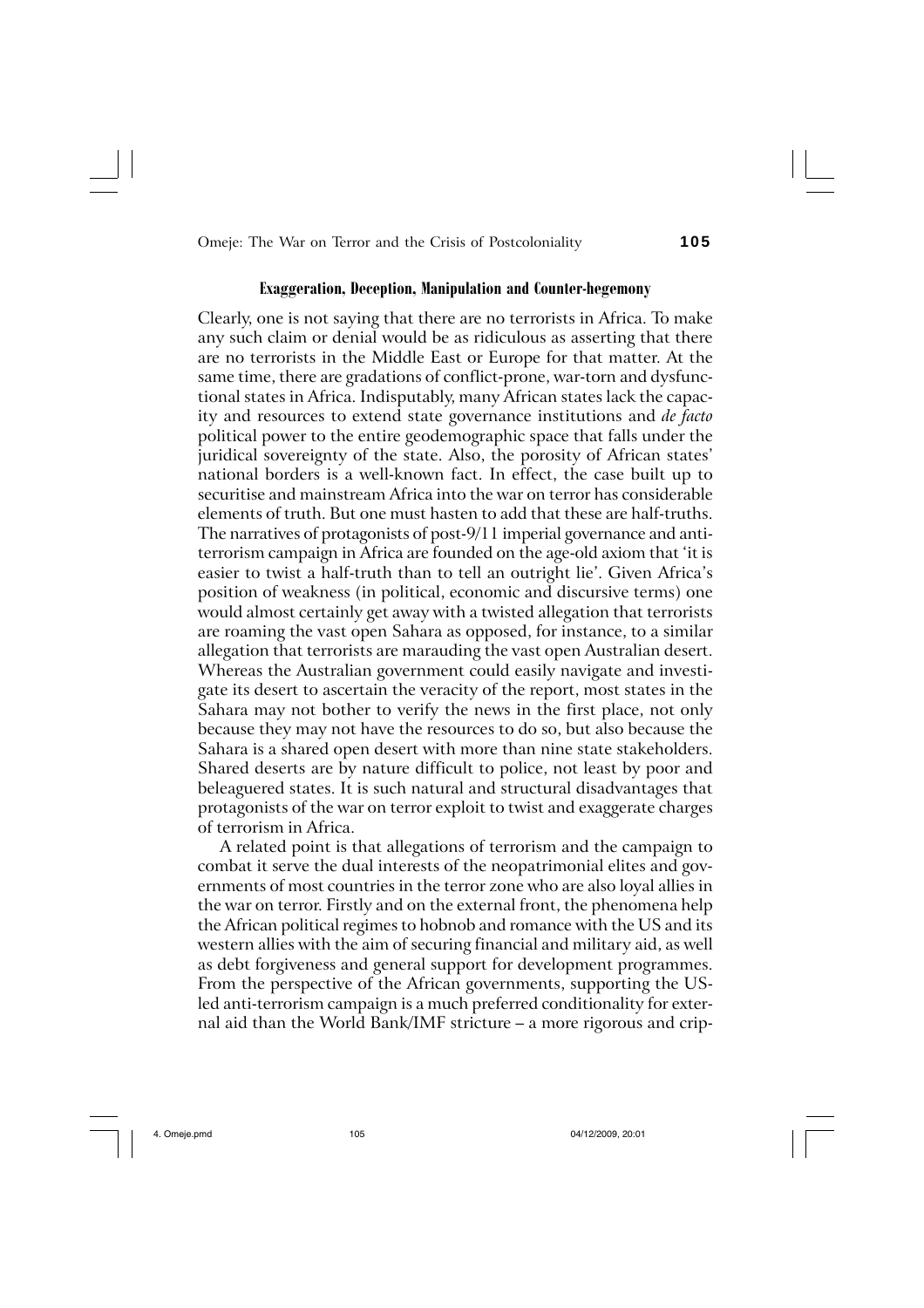## **Exaggeration, Deception, Manipulation and Counter-hegemony**

Clearly, one is not saying that there are no terrorists in Africa. To make any such claim or denial would be as ridiculous as asserting that there are no terrorists in the Middle East or Europe for that matter. At the same time, there are gradations of conflict-prone, war-torn and dysfunctional states in Africa. Indisputably, many African states lack the capacity and resources to extend state governance institutions and *de facto* political power to the entire geodemographic space that falls under the juridical sovereignty of the state. Also, the porosity of African states' national borders is a well-known fact. In effect, the case built up to securitise and mainstream Africa into the war on terror has considerable elements of truth. But one must hasten to add that these are half-truths. The narratives of protagonists of post-9/11 imperial governance and antiterrorism campaign in Africa are founded on the age-old axiom that 'it is easier to twist a half-truth than to tell an outright lie'. Given Africa's position of weakness (in political, economic and discursive terms) one would almost certainly get away with a twisted allegation that terrorists are roaming the vast open Sahara as opposed, for instance, to a similar allegation that terrorists are marauding the vast open Australian desert. Whereas the Australian government could easily navigate and investigate its desert to ascertain the veracity of the report, most states in the Sahara may not bother to verify the news in the first place, not only because they may not have the resources to do so, but also because the Sahara is a shared open desert with more than nine state stakeholders. Shared deserts are by nature difficult to police, not least by poor and beleaguered states. It is such natural and structural disadvantages that protagonists of the war on terror exploit to twist and exaggerate charges of terrorism in Africa.

A related point is that allegations of terrorism and the campaign to combat it serve the dual interests of the neopatrimonial elites and governments of most countries in the terror zone who are also loyal allies in the war on terror. Firstly and on the external front, the phenomena help the African political regimes to hobnob and romance with the US and its western allies with the aim of securing financial and military aid, as well as debt forgiveness and general support for development programmes. From the perspective of the African governments, supporting the USled anti-terrorism campaign is a much preferred conditionality for external aid than the World Bank/IMF stricture – a more rigorous and crip-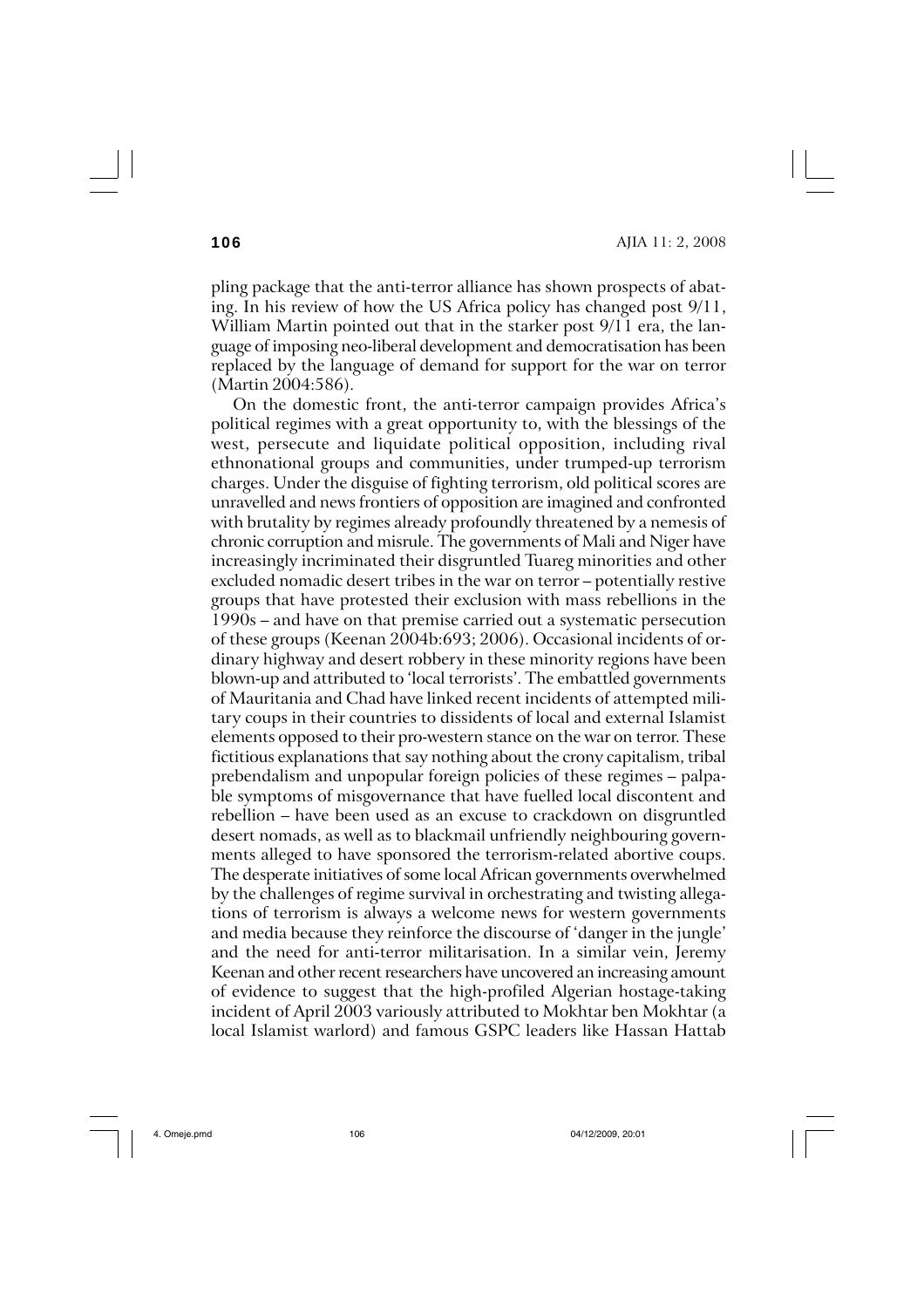pling package that the anti-terror alliance has shown prospects of abating. In his review of how the US Africa policy has changed post 9/11, William Martin pointed out that in the starker post 9/11 era, the language of imposing neo-liberal development and democratisation has been replaced by the language of demand for support for the war on terror (Martin 2004:586).

On the domestic front, the anti-terror campaign provides Africa's political regimes with a great opportunity to, with the blessings of the west, persecute and liquidate political opposition, including rival ethnonational groups and communities, under trumped-up terrorism charges. Under the disguise of fighting terrorism, old political scores are unravelled and news frontiers of opposition are imagined and confronted with brutality by regimes already profoundly threatened by a nemesis of chronic corruption and misrule. The governments of Mali and Niger have increasingly incriminated their disgruntled Tuareg minorities and other excluded nomadic desert tribes in the war on terror – potentially restive groups that have protested their exclusion with mass rebellions in the 1990s – and have on that premise carried out a systematic persecution of these groups (Keenan 2004b:693; 2006). Occasional incidents of ordinary highway and desert robbery in these minority regions have been blown-up and attributed to 'local terrorists'. The embattled governments of Mauritania and Chad have linked recent incidents of attempted military coups in their countries to dissidents of local and external Islamist elements opposed to their pro-western stance on the war on terror. These fictitious explanations that say nothing about the crony capitalism, tribal prebendalism and unpopular foreign policies of these regimes – palpable symptoms of misgovernance that have fuelled local discontent and rebellion – have been used as an excuse to crackdown on disgruntled desert nomads, as well as to blackmail unfriendly neighbouring governments alleged to have sponsored the terrorism-related abortive coups. The desperate initiatives of some local African governments overwhelmed by the challenges of regime survival in orchestrating and twisting allegations of terrorism is always a welcome news for western governments and media because they reinforce the discourse of 'danger in the jungle' and the need for anti-terror militarisation. In a similar vein, Jeremy Keenan and other recent researchers have uncovered an increasing amount of evidence to suggest that the high-profiled Algerian hostage-taking incident of April 2003 variously attributed to Mokhtar ben Mokhtar (a local Islamist warlord) and famous GSPC leaders like Hassan Hattab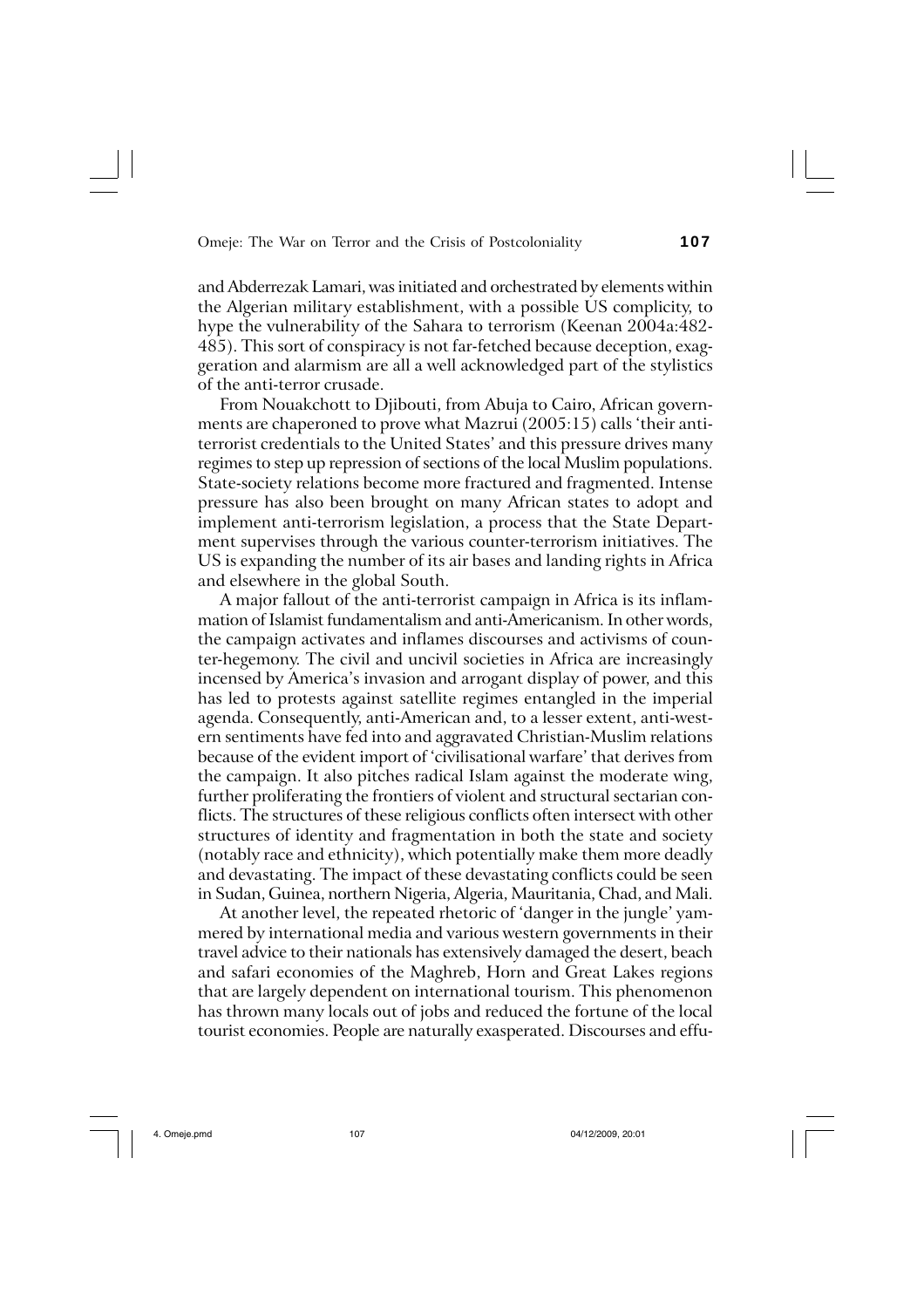and Abderrezak Lamari, was initiated and orchestrated by elements within the Algerian military establishment, with a possible US complicity, to hype the vulnerability of the Sahara to terrorism (Keenan 2004a:482- 485). This sort of conspiracy is not far-fetched because deception, exaggeration and alarmism are all a well acknowledged part of the stylistics of the anti-terror crusade.

From Nouakchott to Djibouti, from Abuja to Cairo, African governments are chaperoned to prove what Mazrui (2005:15) calls 'their antiterrorist credentials to the United States' and this pressure drives many regimes to step up repression of sections of the local Muslim populations. State-society relations become more fractured and fragmented. Intense pressure has also been brought on many African states to adopt and implement anti-terrorism legislation, a process that the State Department supervises through the various counter-terrorism initiatives. The US is expanding the number of its air bases and landing rights in Africa and elsewhere in the global South.

A major fallout of the anti-terrorist campaign in Africa is its inflammation of Islamist fundamentalism and anti-Americanism. In other words, the campaign activates and inflames discourses and activisms of counter-hegemony. The civil and uncivil societies in Africa are increasingly incensed by America's invasion and arrogant display of power, and this has led to protests against satellite regimes entangled in the imperial agenda. Consequently, anti-American and, to a lesser extent, anti-western sentiments have fed into and aggravated Christian-Muslim relations because of the evident import of 'civilisational warfare' that derives from the campaign. It also pitches radical Islam against the moderate wing, further proliferating the frontiers of violent and structural sectarian conflicts. The structures of these religious conflicts often intersect with other structures of identity and fragmentation in both the state and society (notably race and ethnicity), which potentially make them more deadly and devastating. The impact of these devastating conflicts could be seen in Sudan, Guinea, northern Nigeria, Algeria, Mauritania, Chad, and Mali.

At another level, the repeated rhetoric of 'danger in the jungle' yammered by international media and various western governments in their travel advice to their nationals has extensively damaged the desert, beach and safari economies of the Maghreb, Horn and Great Lakes regions that are largely dependent on international tourism. This phenomenon has thrown many locals out of jobs and reduced the fortune of the local tourist economies. People are naturally exasperated. Discourses and effu-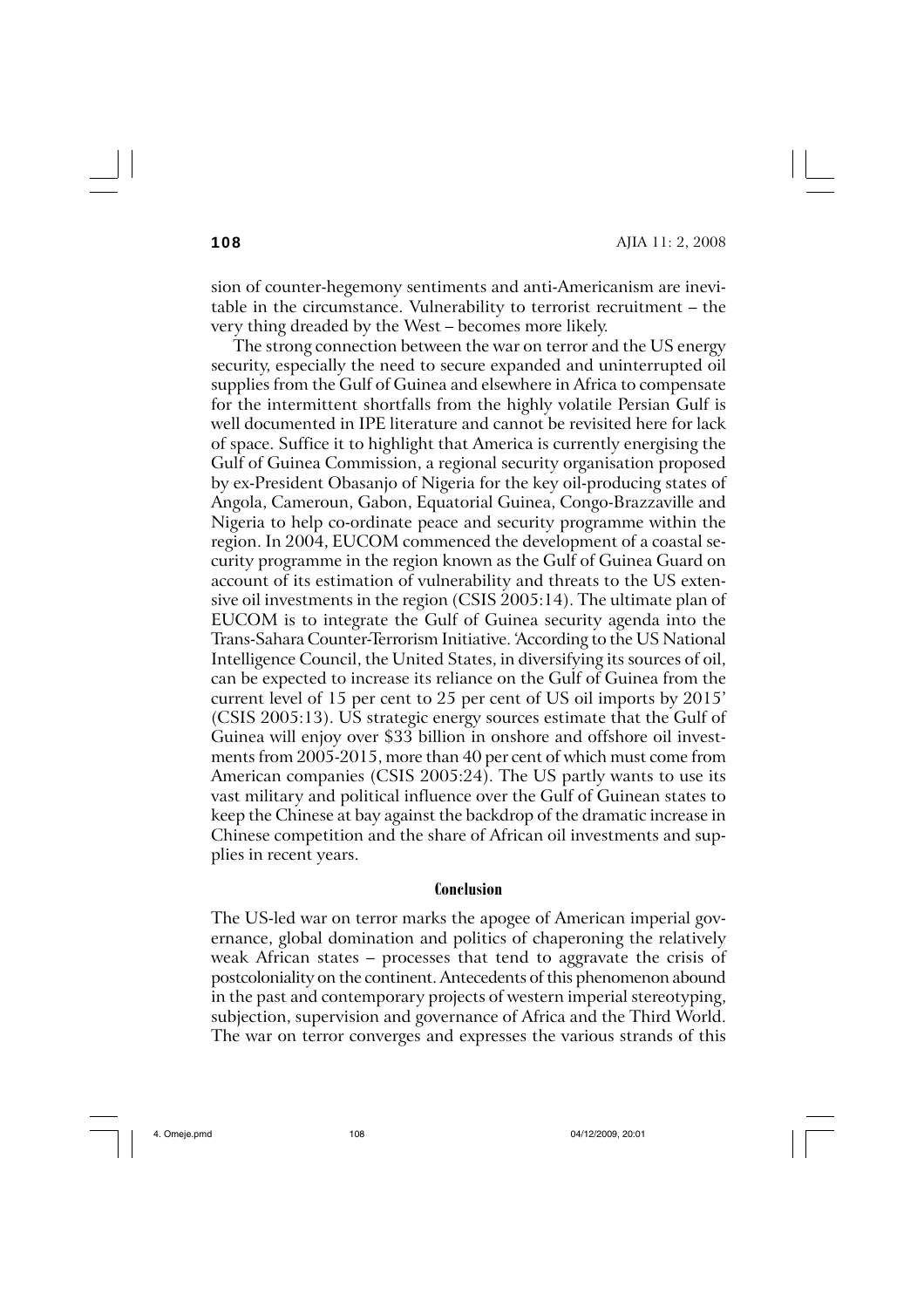**108** AJIA 11: 2, 2008

sion of counter-hegemony sentiments and anti-Americanism are inevitable in the circumstance. Vulnerability to terrorist recruitment – the very thing dreaded by the West – becomes more likely.

The strong connection between the war on terror and the US energy security, especially the need to secure expanded and uninterrupted oil supplies from the Gulf of Guinea and elsewhere in Africa to compensate for the intermittent shortfalls from the highly volatile Persian Gulf is well documented in IPE literature and cannot be revisited here for lack of space. Suffice it to highlight that America is currently energising the Gulf of Guinea Commission, a regional security organisation proposed by ex-President Obasanjo of Nigeria for the key oil-producing states of Angola, Cameroun, Gabon, Equatorial Guinea, Congo-Brazzaville and Nigeria to help co-ordinate peace and security programme within the region. In 2004, EUCOM commenced the development of a coastal security programme in the region known as the Gulf of Guinea Guard on account of its estimation of vulnerability and threats to the US extensive oil investments in the region (CSIS 2005:14). The ultimate plan of EUCOM is to integrate the Gulf of Guinea security agenda into the Trans-Sahara Counter-Terrorism Initiative. 'According to the US National Intelligence Council, the United States, in diversifying its sources of oil, can be expected to increase its reliance on the Gulf of Guinea from the current level of 15 per cent to 25 per cent of US oil imports by 2015' (CSIS 2005:13). US strategic energy sources estimate that the Gulf of Guinea will enjoy over \$33 billion in onshore and offshore oil investments from 2005-2015, more than 40 per cent of which must come from American companies (CSIS 2005:24). The US partly wants to use its vast military and political influence over the Gulf of Guinean states to keep the Chinese at bay against the backdrop of the dramatic increase in Chinese competition and the share of African oil investments and supplies in recent years.

#### **Conclusion**

The US-led war on terror marks the apogee of American imperial governance, global domination and politics of chaperoning the relatively weak African states – processes that tend to aggravate the crisis of postcoloniality on the continent. Antecedents of this phenomenon abound in the past and contemporary projects of western imperial stereotyping, subjection, supervision and governance of Africa and the Third World. The war on terror converges and expresses the various strands of this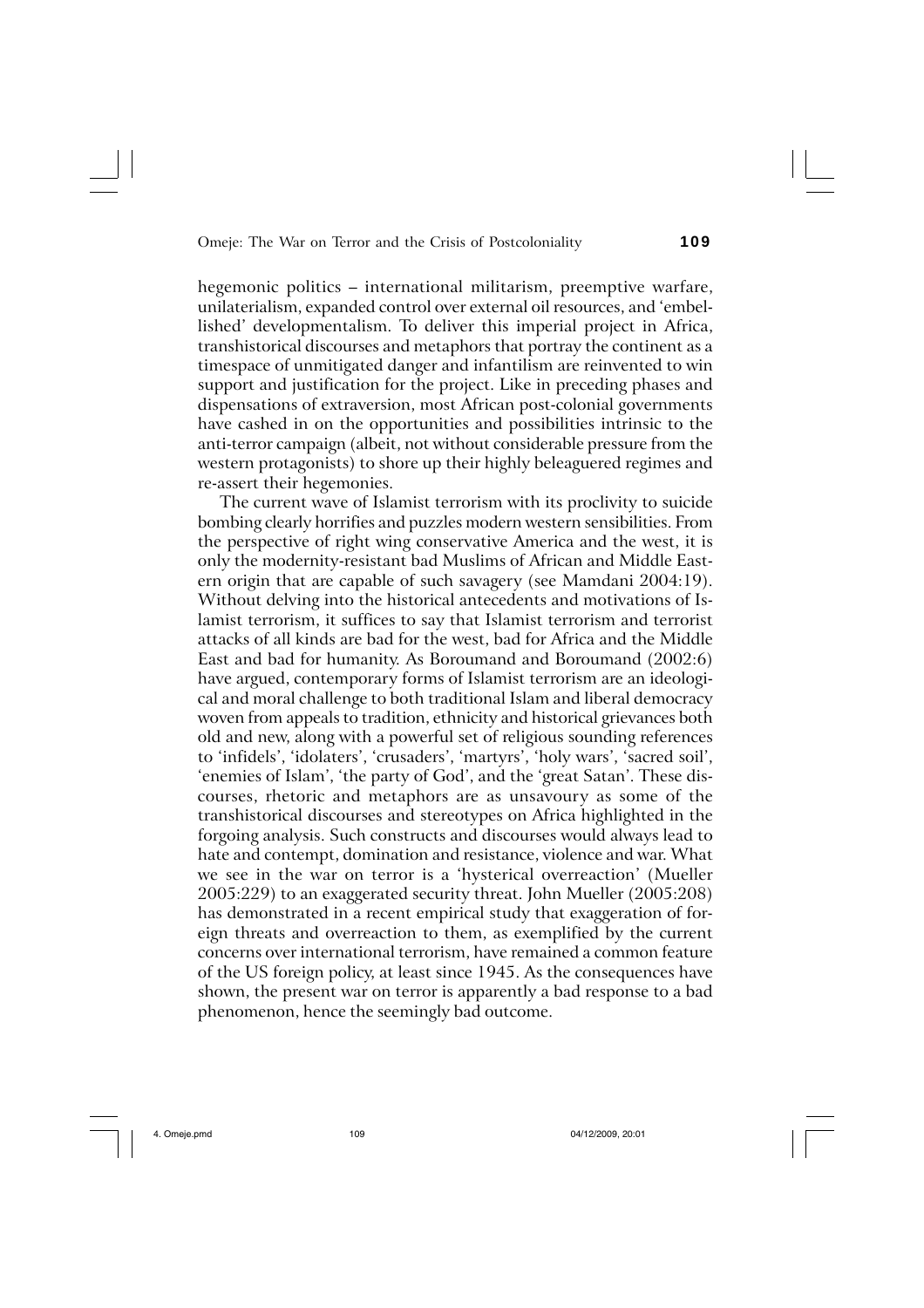hegemonic politics – international militarism, preemptive warfare, unilaterialism, expanded control over external oil resources, and 'embellished' developmentalism. To deliver this imperial project in Africa, transhistorical discourses and metaphors that portray the continent as a timespace of unmitigated danger and infantilism are reinvented to win support and justification for the project. Like in preceding phases and dispensations of extraversion, most African post-colonial governments have cashed in on the opportunities and possibilities intrinsic to the anti-terror campaign (albeit, not without considerable pressure from the western protagonists) to shore up their highly beleaguered regimes and re-assert their hegemonies.

The current wave of Islamist terrorism with its proclivity to suicide bombing clearly horrifies and puzzles modern western sensibilities. From the perspective of right wing conservative America and the west, it is only the modernity-resistant bad Muslims of African and Middle Eastern origin that are capable of such savagery (see Mamdani 2004:19). Without delving into the historical antecedents and motivations of Islamist terrorism, it suffices to say that Islamist terrorism and terrorist attacks of all kinds are bad for the west, bad for Africa and the Middle East and bad for humanity. As Boroumand and Boroumand (2002:6) have argued, contemporary forms of Islamist terrorism are an ideological and moral challenge to both traditional Islam and liberal democracy woven from appeals to tradition, ethnicity and historical grievances both old and new, along with a powerful set of religious sounding references to 'infidels', 'idolaters', 'crusaders', 'martyrs', 'holy wars', 'sacred soil', 'enemies of Islam', 'the party of God', and the 'great Satan'. These discourses, rhetoric and metaphors are as unsavoury as some of the transhistorical discourses and stereotypes on Africa highlighted in the forgoing analysis. Such constructs and discourses would always lead to hate and contempt, domination and resistance, violence and war. What we see in the war on terror is a 'hysterical overreaction' (Mueller 2005:229) to an exaggerated security threat. John Mueller (2005:208) has demonstrated in a recent empirical study that exaggeration of foreign threats and overreaction to them, as exemplified by the current concerns over international terrorism, have remained a common feature of the US foreign policy, at least since 1945. As the consequences have shown, the present war on terror is apparently a bad response to a bad phenomenon, hence the seemingly bad outcome.

4. Omeje.pmd 109 04/12/2009, 20:01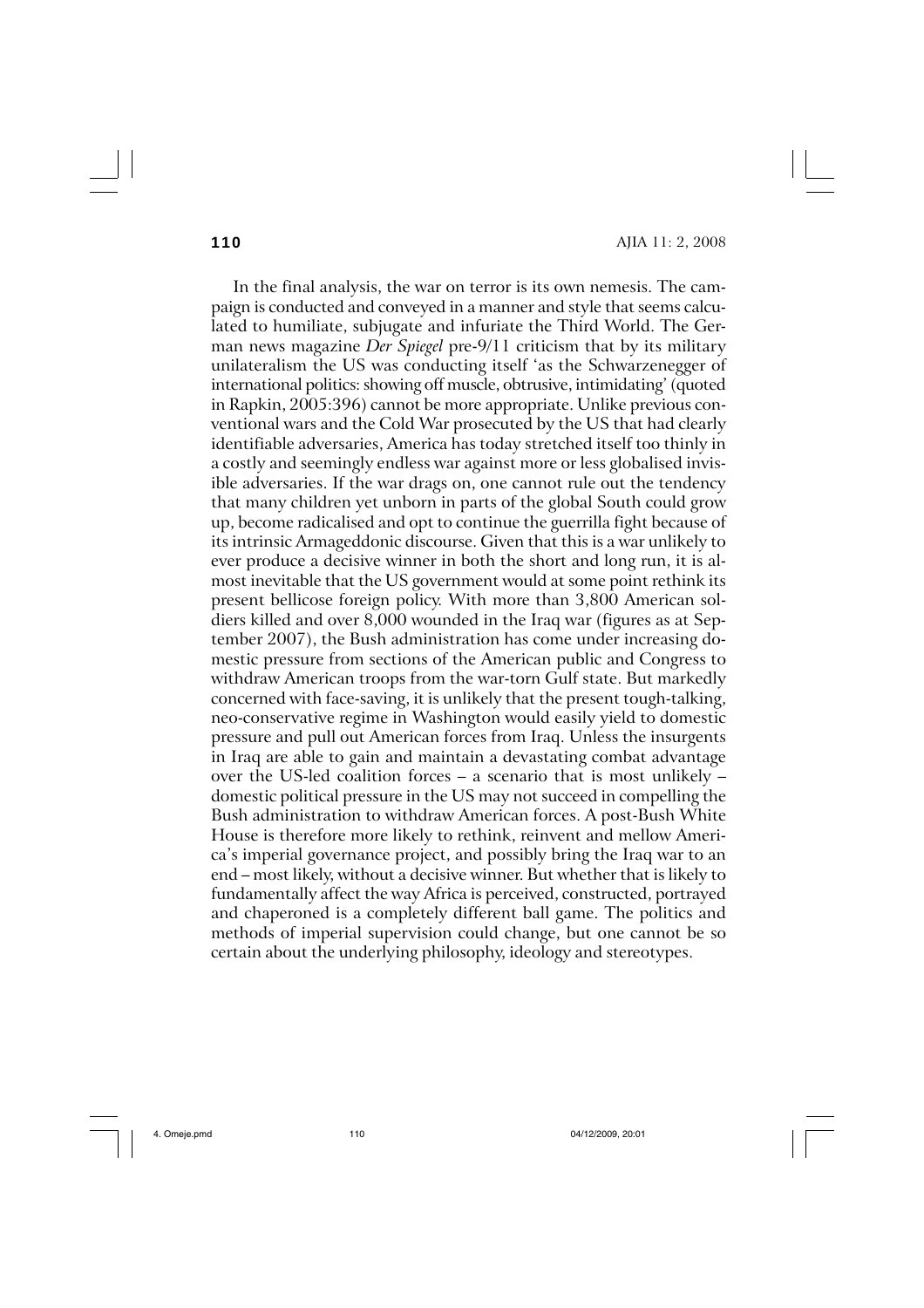**110** AJIA 11: 2, 2008

In the final analysis, the war on terror is its own nemesis. The campaign is conducted and conveyed in a manner and style that seems calculated to humiliate, subjugate and infuriate the Third World. The German news magazine *Der Spiegel* pre-9/11 criticism that by its military unilateralism the US was conducting itself 'as the Schwarzenegger of international politics: showing off muscle, obtrusive, intimidating' (quoted in Rapkin, 2005:396) cannot be more appropriate. Unlike previous conventional wars and the Cold War prosecuted by the US that had clearly identifiable adversaries, America has today stretched itself too thinly in a costly and seemingly endless war against more or less globalised invisible adversaries. If the war drags on, one cannot rule out the tendency that many children yet unborn in parts of the global South could grow up, become radicalised and opt to continue the guerrilla fight because of its intrinsic Armageddonic discourse. Given that this is a war unlikely to ever produce a decisive winner in both the short and long run, it is almost inevitable that the US government would at some point rethink its present bellicose foreign policy. With more than 3,800 American soldiers killed and over 8,000 wounded in the Iraq war (figures as at September 2007), the Bush administration has come under increasing domestic pressure from sections of the American public and Congress to withdraw American troops from the war-torn Gulf state. But markedly concerned with face-saving, it is unlikely that the present tough-talking, neo-conservative regime in Washington would easily yield to domestic pressure and pull out American forces from Iraq. Unless the insurgents in Iraq are able to gain and maintain a devastating combat advantage over the US-led coalition forces – a scenario that is most unlikely – domestic political pressure in the US may not succeed in compelling the Bush administration to withdraw American forces. A post-Bush White House is therefore more likely to rethink, reinvent and mellow America's imperial governance project, and possibly bring the Iraq war to an end – most likely, without a decisive winner. But whether that is likely to fundamentally affect the way Africa is perceived, constructed, portrayed and chaperoned is a completely different ball game. The politics and methods of imperial supervision could change, but one cannot be so certain about the underlying philosophy, ideology and stereotypes.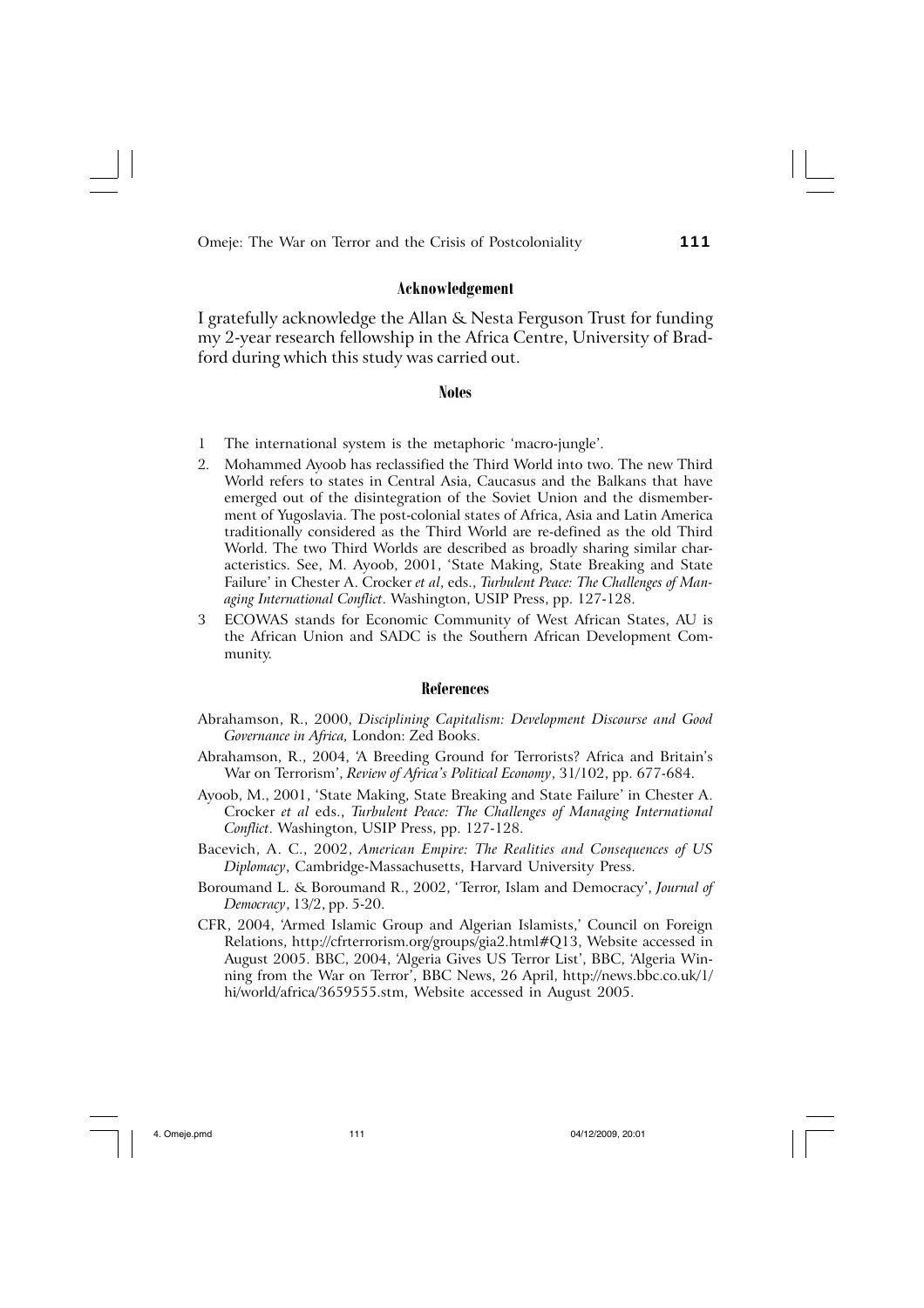## **Acknowledgement**

I gratefully acknowledge the Allan & Nesta Ferguson Trust for funding my 2-year research fellowship in the Africa Centre, University of Bradford during which this study was carried out.

#### **Notes**

- 1 The international system is the metaphoric 'macro-jungle'.
- 2. Mohammed Ayoob has reclassified the Third World into two. The new Third World refers to states in Central Asia, Caucasus and the Balkans that have emerged out of the disintegration of the Soviet Union and the dismemberment of Yugoslavia. The post-colonial states of Africa, Asia and Latin America traditionally considered as the Third World are re-defined as the old Third World. The two Third Worlds are described as broadly sharing similar characteristics. See, M. Ayoob, 2001, 'State Making, State Breaking and State Failure' in Chester A. Crocker *et al*, eds., *Turbulent Peace: The Challenges of Managing International Conflict*. Washington, USIP Press, pp. 127-128.
- 3 ECOWAS stands for Economic Community of West African States, AU is the African Union and SADC is the Southern African Development Community.

#### **References**

- Abrahamson, R., 2000, *Disciplining Capitalism: Development Discourse and Good Governance in Africa,* London: Zed Books.
- Abrahamson, R., 2004, 'A Breeding Ground for Terrorists? Africa and Britain's War on Terrorism', *Review of Africa's Political Economy*, 31/102, pp. 677-684.
- Ayoob, M., 2001, 'State Making, State Breaking and State Failure' in Chester A. Crocker *et al* eds., *Turbulent Peace: The Challenges of Managing International Conflict*. Washington, USIP Press, pp. 127-128.
- Bacevich, A. C., 2002, *American Empire: The Realities and Consequences of US Diplomacy*, Cambridge-Massachusetts, Harvard University Press.
- Boroumand L. & Boroumand R., 2002, 'Terror, Islam and Democracy', *Journal of Democracy*, 13/2, pp. 5-20.
- CFR, 2004, 'Armed Islamic Group and Algerian Islamists,' Council on Foreign Relations, http://cfrterrorism.org/groups/gia2.html#Q13, Website accessed in August 2005. BBC, 2004, 'Algeria Gives US Terror List', BBC, 'Algeria Winning from the War on Terror', BBC News, 26 April, http://news.bbc.co.uk/1/ hi/world/africa/3659555.stm, Website accessed in August 2005.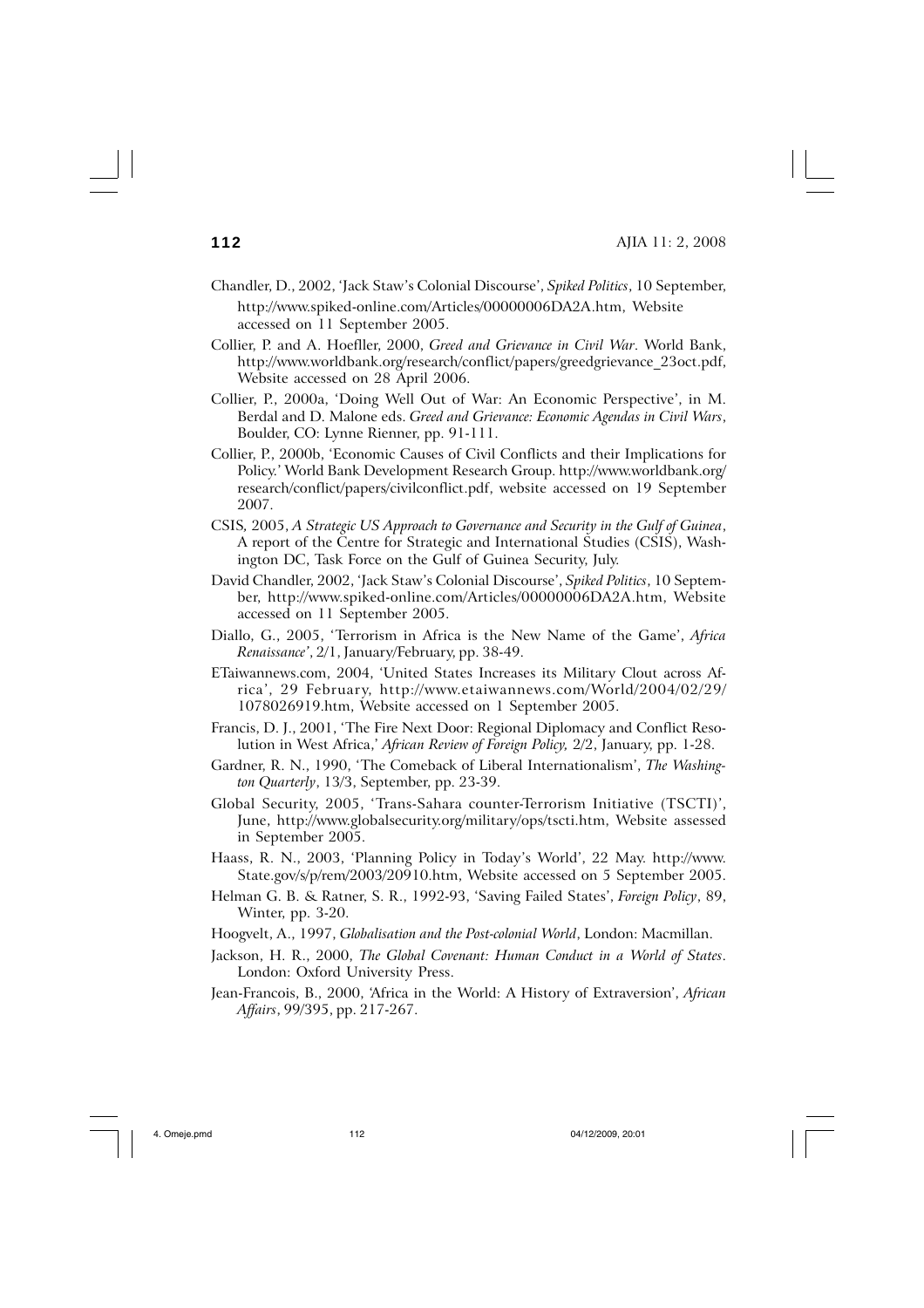- Chandler, D., 2002, 'Jack Staw's Colonial Discourse', *Spiked Politics*, 10 September, http://www.spiked-online.com/Articles/00000006DA2A.htm, Website accessed on 11 September 2005.
- Collier, P. and A. Hoefller, 2000, *Greed and Grievance in Civil War*. World Bank, http://www.worldbank.org/research/conflict/papers/greedgrievance\_23oct.pdf, Website accessed on 28 April 2006.
- Collier, P., 2000a, 'Doing Well Out of War: An Economic Perspective', in M. Berdal and D. Malone eds. *Greed and Grievance: Economic Agendas in Civil Wars*, Boulder, CO: Lynne Rienner, pp. 91-111.
- Collier, P., 2000b, 'Economic Causes of Civil Conflicts and their Implications for Policy.' World Bank Development Research Group. http://www.worldbank.org/ research/conflict/papers/civilconflict.pdf, website accessed on 19 September 2007.
- CSIS*,* 2005, *A Strategic US Approach to Governance and Security in the Gulf of Guinea*, A report of the Centre for Strategic and International Studies (CSIS), Washington DC, Task Force on the Gulf of Guinea Security, July.
- David Chandler, 2002, 'Jack Staw's Colonial Discourse', *Spiked Politics*, 10 September, http://www.spiked-online.com/Articles/00000006DA2A.htm, Website accessed on 11 September 2005.
- Diallo, G., 2005, 'Terrorism in Africa is the New Name of the Game', *Africa Renaissance'*, 2/1, January/February, pp. 38-49.
- ETaiwannews.com, 2004, 'United States Increases its Military Clout across Africa', 29 February, http://www.etaiwannews.com/World/2004/02/29/ 1078026919.htm, Website accessed on 1 September 2005.
- Francis, D. J., 2001, 'The Fire Next Door: Regional Diplomacy and Conflict Resolution in West Africa,' *African Review of Foreign Policy,* 2/2, January, pp. 1-28.
- Gardner, R. N., 1990, 'The Comeback of Liberal Internationalism', *The Washington Quarterly*, 13/3, September, pp. 23-39.
- Global Security, 2005, 'Trans-Sahara counter-Terrorism Initiative (TSCTI)', June, http://www.globalsecurity.org/military/ops/tscti.htm, Website assessed in September 2005.
- Haass, R. N., 2003, 'Planning Policy in Today's World', 22 May. http://www. State.gov/s/p/rem/2003/20910.htm, Website accessed on 5 September 2005.
- Helman G. B. & Ratner, S. R., 1992-93, 'Saving Failed States', *Foreign Policy*, 89, Winter, pp. 3-20.
- Hoogvelt, A., 1997, *Globalisation and the Post-colonial World*, London: Macmillan.
- Jackson, H. R., 2000, *The Global Covenant: Human Conduct in a World of States*. London: Oxford University Press.
- Jean-Francois, B., 2000, 'Africa in the World: A History of Extraversion', *African Affairs*, 99/395, pp. 217-267.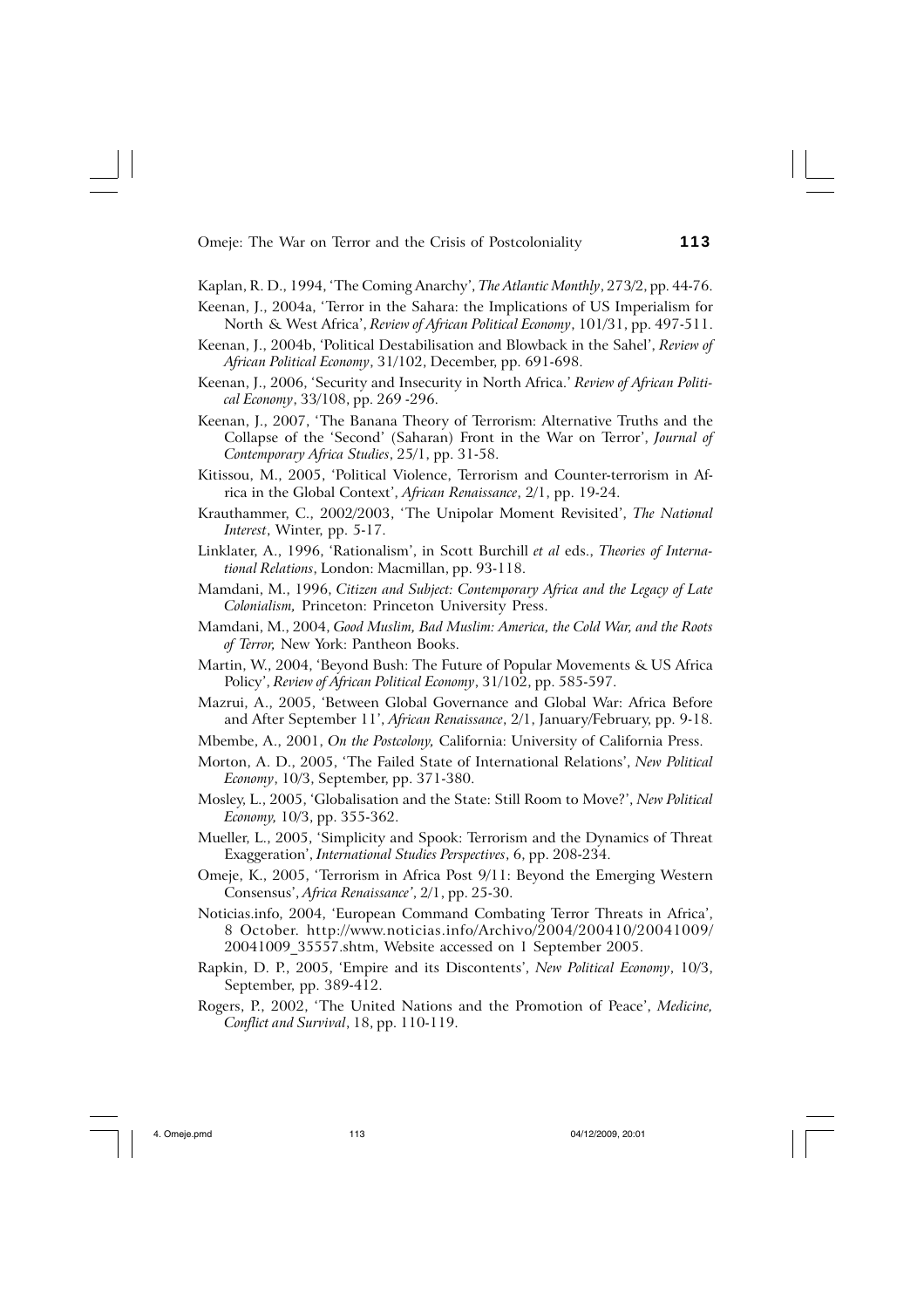Kaplan, R. D., 1994, 'The Coming Anarchy', *The Atlantic Monthly*, 273/2, pp. 44-76.

- Keenan, J., 2004a, 'Terror in the Sahara: the Implications of US Imperialism for North & West Africa', *Review of African Political Economy*, 101/31, pp. 497-511.
- Keenan, J., 2004b, 'Political Destabilisation and Blowback in the Sahel', *Review of African Political Economy*, 31/102, December, pp. 691-698.
- Keenan, J., 2006, 'Security and Insecurity in North Africa.' *Review of African Political Economy*, 33/108, pp. 269 -296.
- Keenan, J., 2007, 'The Banana Theory of Terrorism: Alternative Truths and the Collapse of the 'Second' (Saharan) Front in the War on Terror', *Journal of Contemporary Africa Studies*, 25/1, pp. 31-58.
- Kitissou, M., 2005, 'Political Violence, Terrorism and Counter-terrorism in Africa in the Global Context', *African Renaissance*, 2/1, pp. 19-24.
- Krauthammer, C., 2002/2003, 'The Unipolar Moment Revisited', *The National Interest*, Winter, pp. 5-17.
- Linklater, A., 1996, 'Rationalism', in Scott Burchill *et al* eds., *Theories of International Relations*, London: Macmillan, pp. 93-118.
- Mamdani, M., 1996, *Citizen and Subject: Contemporary Africa and the Legacy of Late Colonialism,* Princeton: Princeton University Press.
- Mamdani, M., 2004, *Good Muslim, Bad Muslim: America, the Cold War, and the Roots of Terror,* New York: Pantheon Books.
- Martin, W., 2004, 'Beyond Bush: The Future of Popular Movements & US Africa Policy', *Review of African Political Economy*, 31/102, pp. 585-597.
- Mazrui, A., 2005, 'Between Global Governance and Global War: Africa Before and After September 11', *African Renaissance*, 2/1, January/February, pp. 9-18.
- Mbembe, A., 2001, *On the Postcolony,* California: University of California Press.
- Morton, A. D., 2005, 'The Failed State of International Relations', *New Political Economy*, 10/3, September, pp. 371-380.
- Mosley, L., 2005, 'Globalisation and the State: Still Room to Move?', *New Political Economy,* 10/3, pp. 355-362.
- Mueller, L., 2005, 'Simplicity and Spook: Terrorism and the Dynamics of Threat Exaggeration', *International Studies Perspectives*, 6, pp. 208-234.
- Omeje, K., 2005, 'Terrorism in Africa Post 9/11: Beyond the Emerging Western Consensus', *Africa Renaissance'*, 2/1, pp. 25-30.
- Noticias.info, 2004, 'European Command Combating Terror Threats in Africa', 8 October. http://www.noticias.info/Archivo/2004/200410/20041009/ 20041009\_35557.shtm, Website accessed on 1 September 2005.
- Rapkin, D. P., 2005, 'Empire and its Discontents', *New Political Economy*, 10/3, September, pp. 389-412.
- Rogers, P., 2002, 'The United Nations and the Promotion of Peace', *Medicine, Conflict and Survival*, 18, pp. 110-119.